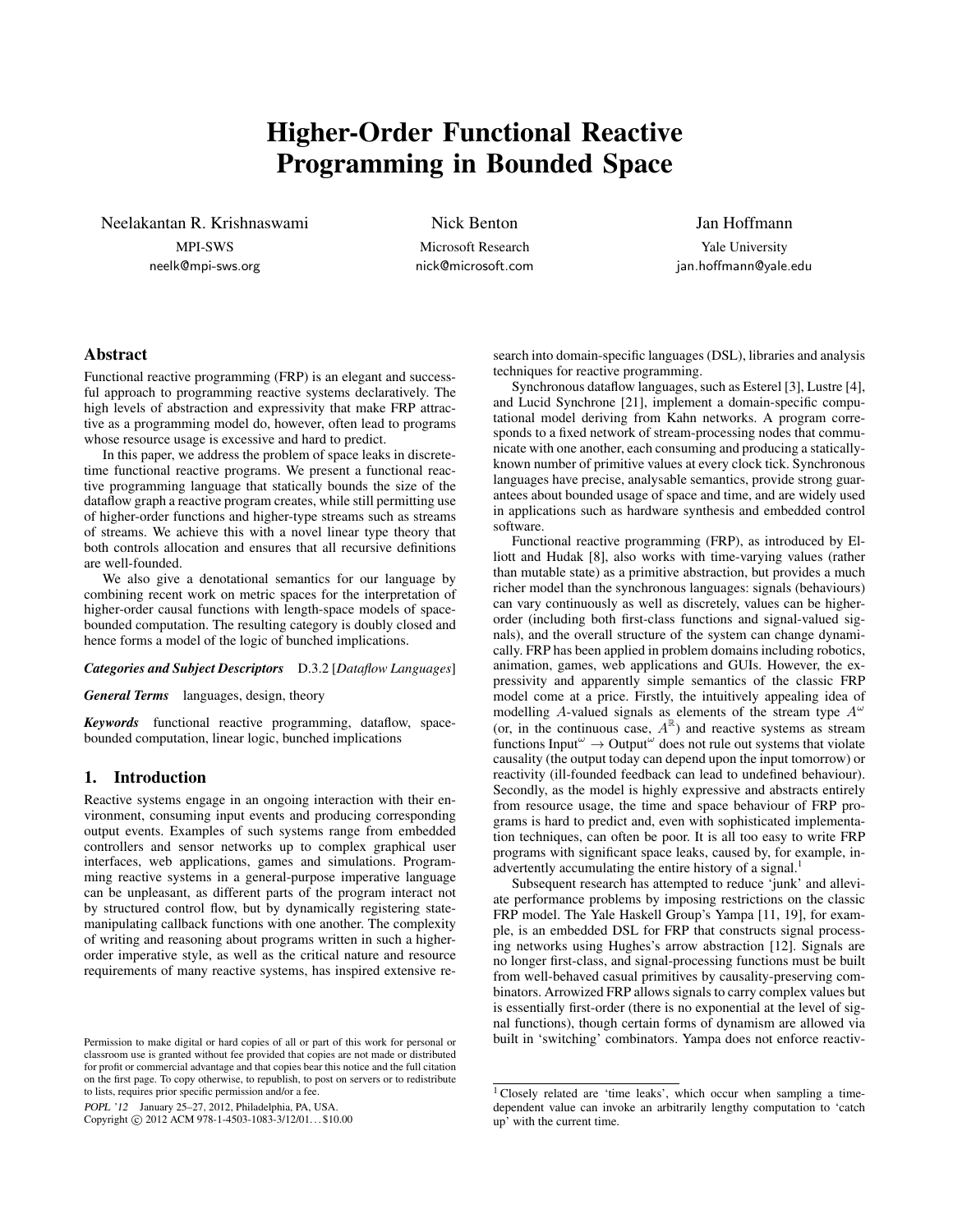# Higher-Order Functional Reactive Programming in Bounded Space

Neelakantan R. Krishnaswami

MPI-SWS neelk@mpi-sws.org Nick Benton

Microsoft Research nick@microsoft.com

# Jan Hoffmann

Yale University jan.hoffmann@yale.edu

# Abstract

Functional reactive programming (FRP) is an elegant and successful approach to programming reactive systems declaratively. The high levels of abstraction and expressivity that make FRP attractive as a programming model do, however, often lead to programs whose resource usage is excessive and hard to predict.

In this paper, we address the problem of space leaks in discretetime functional reactive programs. We present a functional reactive programming language that statically bounds the size of the dataflow graph a reactive program creates, while still permitting use of higher-order functions and higher-type streams such as streams of streams. We achieve this with a novel linear type theory that both controls allocation and ensures that all recursive definitions are well-founded.

We also give a denotational semantics for our language by combining recent work on metric spaces for the interpretation of higher-order causal functions with length-space models of spacebounded computation. The resulting category is doubly closed and hence forms a model of the logic of bunched implications.

#### *Categories and Subject Descriptors* D.3.2 [*Dataflow Languages*]

*General Terms* languages, design, theory

*Keywords* functional reactive programming, dataflow, spacebounded computation, linear logic, bunched implications

# 1. Introduction

Reactive systems engage in an ongoing interaction with their environment, consuming input events and producing corresponding output events. Examples of such systems range from embedded controllers and sensor networks up to complex graphical user interfaces, web applications, games and simulations. Programming reactive systems in a general-purpose imperative language can be unpleasant, as different parts of the program interact not by structured control flow, but by dynamically registering statemanipulating callback functions with one another. The complexity of writing and reasoning about programs written in such a higherorder imperative style, as well as the critical nature and resource requirements of many reactive systems, has inspired extensive re-

POPL '12 January 25–27, 2012, Philadelphia, PA, USA.

Copyright © 2012 ACM 978-1-4503-1083-3/12/01... \$10.00

search into domain-specific languages (DSL), libraries and analysis techniques for reactive programming.

Synchronous dataflow languages, such as Esterel [3], Lustre [4], and Lucid Synchrone [21], implement a domain-specific computational model deriving from Kahn networks. A program corresponds to a fixed network of stream-processing nodes that communicate with one another, each consuming and producing a staticallyknown number of primitive values at every clock tick. Synchronous languages have precise, analysable semantics, provide strong guarantees about bounded usage of space and time, and are widely used in applications such as hardware synthesis and embedded control software.

Functional reactive programming (FRP), as introduced by Elliott and Hudak [8], also works with time-varying values (rather than mutable state) as a primitive abstraction, but provides a much richer model than the synchronous languages: signals (behaviours) can vary continuously as well as discretely, values can be higherorder (including both first-class functions and signal-valued signals), and the overall structure of the system can change dynamically. FRP has been applied in problem domains including robotics, animation, games, web applications and GUIs. However, the expressivity and apparently simple semantics of the classic FRP model come at a price. Firstly, the intuitively appealing idea of modelling A-valued signals as elements of the stream type  $A^{\omega}$ (or, in the continuous case,  $A^{\mathbb{R}}$ ) and reactive systems as stream functions Input $\omega \rightarrow$  Output $\omega$  does not rule out systems that violate causality (the output today can depend upon the input tomorrow) or reactivity (ill-founded feedback can lead to undefined behaviour). Secondly, as the model is highly expressive and abstracts entirely from resource usage, the time and space behaviour of FRP programs is hard to predict and, even with sophisticated implementation techniques, can often be poor. It is all too easy to write FRP programs with significant space leaks, caused by, for example, inadvertently accumulating the entire history of a signal.<sup>1</sup>

Subsequent research has attempted to reduce 'junk' and alleviate performance problems by imposing restrictions on the classic FRP model. The Yale Haskell Group's Yampa [11, 19], for example, is an embedded DSL for FRP that constructs signal processing networks using Hughes's arrow abstraction [12]. Signals are no longer first-class, and signal-processing functions must be built from well-behaved casual primitives by causality-preserving combinators. Arrowized FRP allows signals to carry complex values but is essentially first-order (there is no exponential at the level of signal functions), though certain forms of dynamism are allowed via built in 'switching' combinators. Yampa does not enforce reactiv-

Permission to make digital or hard copies of all or part of this work for personal or classroom use is granted without fee provided that copies are not made or distributed for profit or commercial advantage and that copies bear this notice and the full citation on the first page. To copy otherwise, to republish, to post on servers or to redistribute to lists, requires prior specific permission and/or a fee.

<sup>&</sup>lt;sup>1</sup> Closely related are 'time leaks', which occur when sampling a timedependent value can invoke an arbitrarily lengthy computation to 'catch up' with the current time.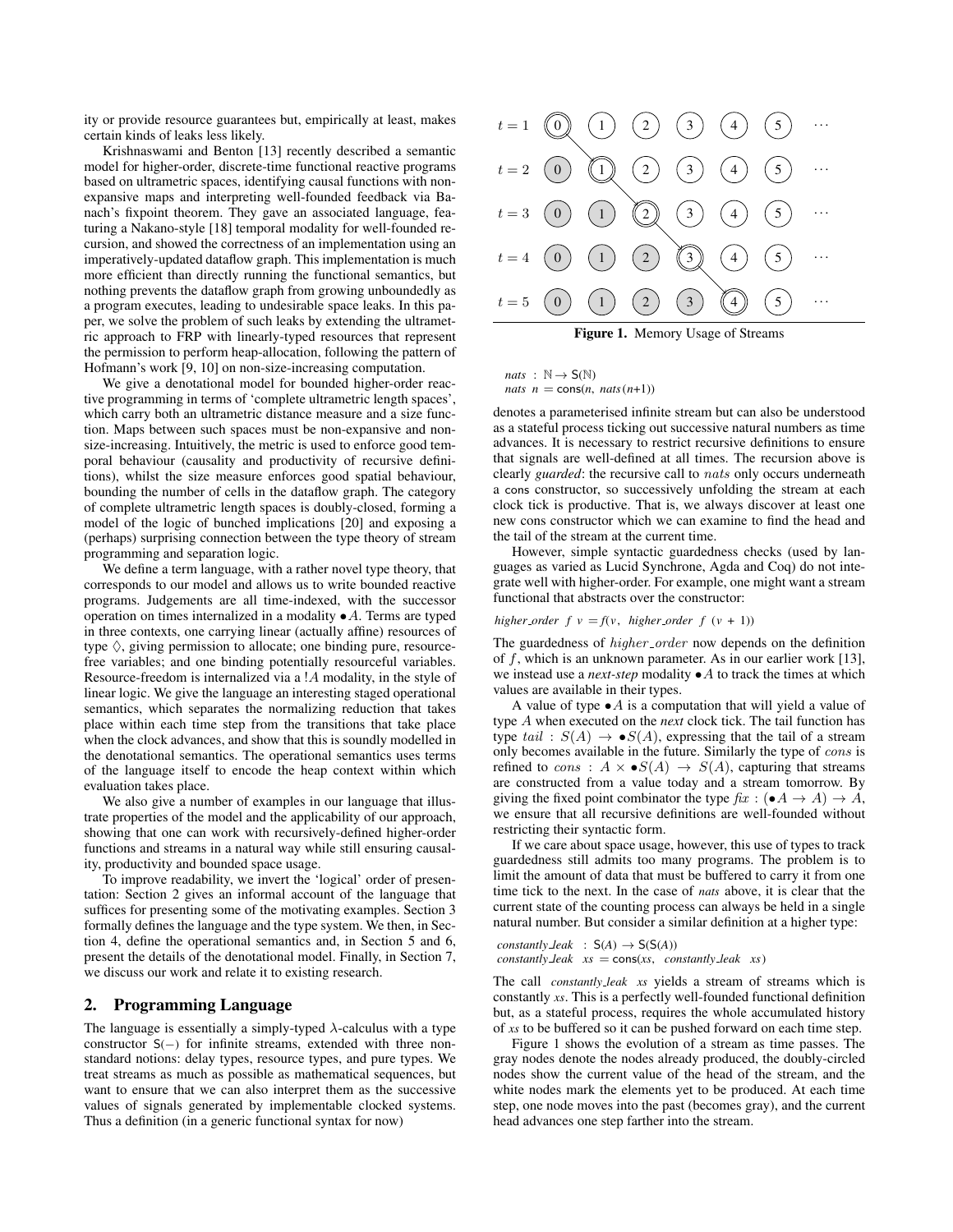ity or provide resource guarantees but, empirically at least, makes certain kinds of leaks less likely.

Krishnaswami and Benton [13] recently described a semantic model for higher-order, discrete-time functional reactive programs based on ultrametric spaces, identifying causal functions with nonexpansive maps and interpreting well-founded feedback via Banach's fixpoint theorem. They gave an associated language, featuring a Nakano-style [18] temporal modality for well-founded recursion, and showed the correctness of an implementation using an imperatively-updated dataflow graph. This implementation is much more efficient than directly running the functional semantics, but nothing prevents the dataflow graph from growing unboundedly as a program executes, leading to undesirable space leaks. In this paper, we solve the problem of such leaks by extending the ultrametric approach to FRP with linearly-typed resources that represent the permission to perform heap-allocation, following the pattern of Hofmann's work [9, 10] on non-size-increasing computation.

We give a denotational model for bounded higher-order reactive programming in terms of 'complete ultrametric length spaces', which carry both an ultrametric distance measure and a size function. Maps between such spaces must be non-expansive and nonsize-increasing. Intuitively, the metric is used to enforce good temporal behaviour (causality and productivity of recursive definitions), whilst the size measure enforces good spatial behaviour, bounding the number of cells in the dataflow graph. The category of complete ultrametric length spaces is doubly-closed, forming a model of the logic of bunched implications [20] and exposing a (perhaps) surprising connection between the type theory of stream programming and separation logic.

We define a term language, with a rather novel type theory, that corresponds to our model and allows us to write bounded reactive programs. Judgements are all time-indexed, with the successor operation on times internalized in a modality  $\bullet A$ . Terms are typed in three contexts, one carrying linear (actually affine) resources of type  $\Diamond$ , giving permission to allocate; one binding pure, resourcefree variables; and one binding potentially resourceful variables. Resource-freedom is internalized via a !A modality, in the style of linear logic. We give the language an interesting staged operational semantics, which separates the normalizing reduction that takes place within each time step from the transitions that take place when the clock advances, and show that this is soundly modelled in the denotational semantics. The operational semantics uses terms of the language itself to encode the heap context within which evaluation takes place.

We also give a number of examples in our language that illustrate properties of the model and the applicability of our approach, showing that one can work with recursively-defined higher-order functions and streams in a natural way while still ensuring causality, productivity and bounded space usage.

To improve readability, we invert the 'logical' order of presentation: Section 2 gives an informal account of the language that suffices for presenting some of the motivating examples. Section 3 formally defines the language and the type system. We then, in Section 4, define the operational semantics and, in Section 5 and 6, present the details of the denotational model. Finally, in Section 7, we discuss our work and relate it to existing research.

## 2. Programming Language

The language is essentially a simply-typed  $\lambda$ -calculus with a type constructor S(−) for infinite streams, extended with three nonstandard notions: delay types, resource types, and pure types. We treat streams as much as possible as mathematical sequences, but want to ensure that we can also interpret them as the successive values of signals generated by implementable clocked systems. Thus a definition (in a generic functional syntax for now)



Figure 1. Memory Usage of Streams

 $nats$  :  $\mathbb{N} \rightarrow \mathsf{S}(\mathbb{N})$ *nats*  $n = \cos(n, nats(n+1))$ 

denotes a parameterised infinite stream but can also be understood as a stateful process ticking out successive natural numbers as time advances. It is necessary to restrict recursive definitions to ensure that signals are well-defined at all times. The recursion above is clearly *guarded*: the recursive call to nats only occurs underneath a cons constructor, so successively unfolding the stream at each clock tick is productive. That is, we always discover at least one new cons constructor which we can examine to find the head and the tail of the stream at the current time.

However, simple syntactic guardedness checks (used by languages as varied as Lucid Synchrone, Agda and Coq) do not integrate well with higher-order. For example, one might want a stream functional that abstracts over the constructor:

*higher\_order*  $f v = f(v, higher-order f (v + 1))$ 

The guardedness of *higher\_order* now depends on the definition of  $f$ , which is an unknown parameter. As in our earlier work [13], we instead use a *next-step* modality •A to track the times at which values are available in their types.

A value of type  $\bullet$  A is a computation that will yield a value of type A when executed on the *next* clock tick. The tail function has type tail :  $S(A) \rightarrow \bullet S(A)$ , expressing that the tail of a stream only becomes available in the future. Similarly the type of cons is refined to cons :  $A \times \bullet S(A) \rightarrow S(A)$ , capturing that streams are constructed from a value today and a stream tomorrow. By giving the fixed point combinator the type  $\operatorname{fix}: (\bullet A \to A) \to \overline{A}$ , we ensure that all recursive definitions are well-founded without restricting their syntactic form.

If we care about space usage, however, this use of types to track guardedness still admits too many programs. The problem is to limit the amount of data that must be buffered to carry it from one time tick to the next. In the case of *nats* above, it is clear that the current state of the counting process can always be held in a single natural number. But consider a similar definition at a higher type:

*constantly*  $\text{Leak}$  :  $S(A) \rightarrow S(S(A))$  $\cos$ *constantly*  $\angle$ *leak xs* =  $\cos$ *(xs, constantly*  $\angle$ *leak xs)* 

The call *constantly leak xs* yields a stream of streams which is constantly *xs*. This is a perfectly well-founded functional definition but, as a stateful process, requires the whole accumulated history of *xs* to be buffered so it can be pushed forward on each time step.

Figure 1 shows the evolution of a stream as time passes. The gray nodes denote the nodes already produced, the doubly-circled nodes show the current value of the head of the stream, and the white nodes mark the elements yet to be produced. At each time step, one node moves into the past (becomes gray), and the current head advances one step farther into the stream.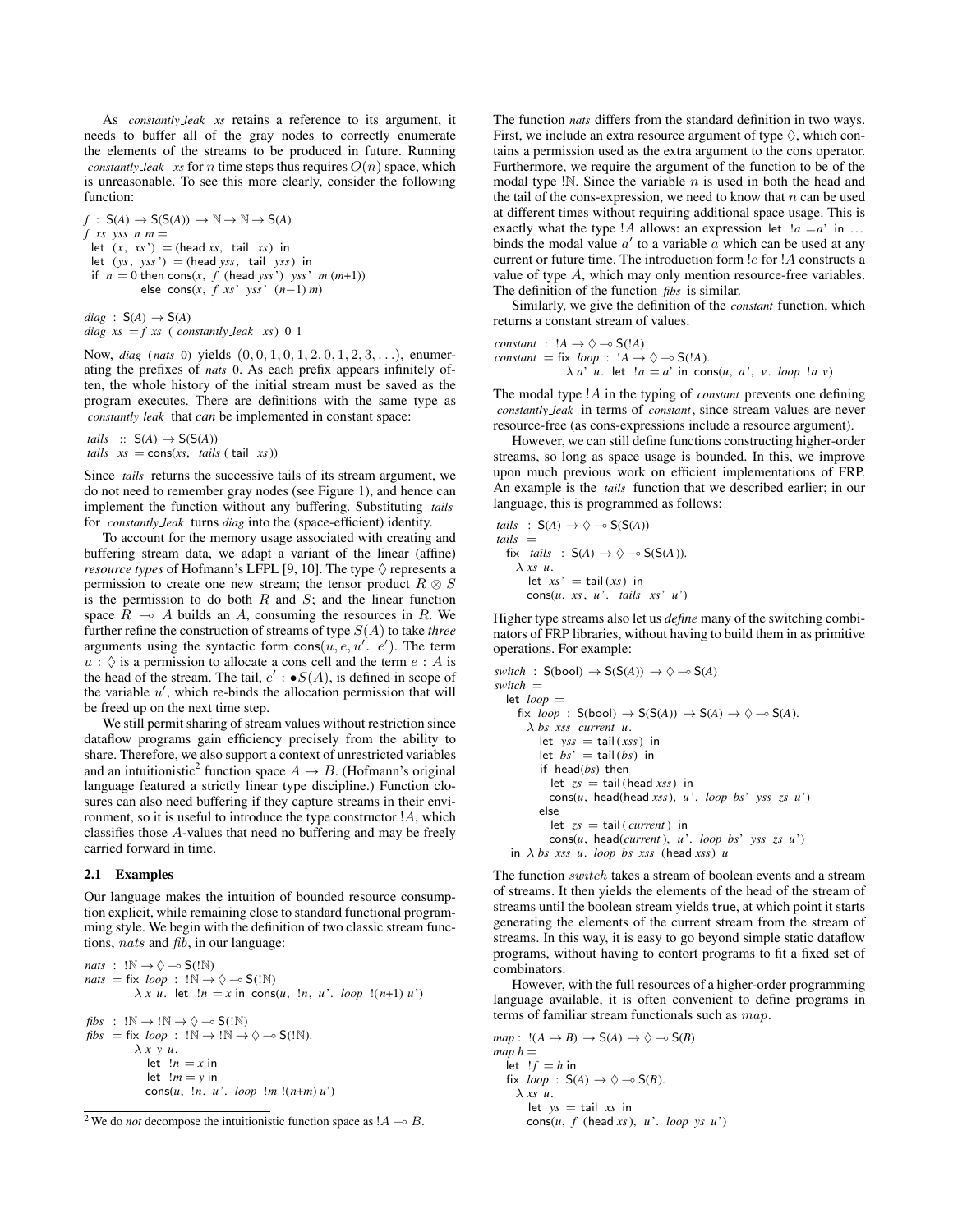As *constantly leak xs* retains a reference to its argument, it needs to buffer all of the gray nodes to correctly enumerate the elements of the streams to be produced in future. Running *constantly leak xs* for *n* time steps thus requires  $O(n)$  space, which is unreasonable. To see this more clearly, consider the following function:

 $f : S(A) \rightarrow S(S(A)) \rightarrow \mathbb{N} \rightarrow \mathbb{N} \rightarrow S(A)$  $f$  *xs* yss  $n$   $m =$ let  $(x, xs') =$  (head *xs*, tail *xs*) in let  $(ys, yss') = (head yss, tail yss)$  in if  $n = 0$  then cons(*x*, *f* (head *yss*') *yss*'  $m(m+1)$ ) else cons(*x*, *f xs*' *yss*' (*n*−1) *m*)

 $diag : S(A) \rightarrow S(A)$  $diag xs = f xs (constantly\_leak xs) 0 1$ 

Now, *diag* (*nats* 0) yields (0, 0, 1, 0, 1, 2, 0, 1, 2, 3, . . .), enumerating the prefixes of *nats* 0. As each prefix appears infinitely often, the whole history of the initial stream must be saved as the program executes. There are definitions with the same type as *constantly leak* that *can* be implemented in constant space:

```
tails :: S(A) \rightarrow S(S(A))tails xs = cons(xs, tails (tail xs))
```
Since *tails* returns the successive tails of its stream argument, we do not need to remember gray nodes (see Figure 1), and hence can implement the function without any buffering. Substituting *tails* for *constantly leak* turns *diag* into the (space-efficient) identity.

To account for the memory usage associated with creating and buffering stream data, we adapt a variant of the linear (affine) *resource types* of Hofmann's LFPL [9, 10]. The type  $\Diamond$  represents a permission to create one new stream; the tensor product  $R \otimes S$ is the permission to do both  $R$  and  $S$ ; and the linear function space  $R \sim A$  builds an A, consuming the resources in R. We further refine the construction of streams of type S(A) to take *three* arguments using the syntactic form  $\cos(u, e, u', e')$ . The term  $u : \Diamond$  is a permission to allocate a cons cell and the term  $e : A$  is the head of the stream. The tail,  $e' : \bullet S(A)$ , is defined in scope of the variable  $u'$ , which re-binds the allocation permission that will be freed up on the next time step.

We still permit sharing of stream values without restriction since dataflow programs gain efficiency precisely from the ability to share. Therefore, we also support a context of unrestricted variables and an intuitionistic<sup>2</sup> function space  $A \rightarrow B$ . (Hofmann's original language featured a strictly linear type discipline.) Function closures can also need buffering if they capture streams in their environment, so it is useful to introduce the type constructor !A, which classifies those A-values that need no buffering and may be freely carried forward in time.

## 2.1 Examples

Our language makes the intuition of bounded resource consumption explicit, while remaining close to standard functional programming style. We begin with the definition of two classic stream functions, nats and fib, in our language:

```
nats : !\mathbb{N} \rightarrow \Diamond \multimap S(\mathbb{N})nats = fix \; loop : \; !\mathbb{N} \rightarrow \Diamond \multimap S(!\mathbb{N})\lambda x u. let \lambda n = x in cons(u, \lambda n, u'. loop \lambda (n+1) u')
fibs : !\mathbb{N} \rightarrow \mathbb{N} \rightarrow \Diamond \multimap S(\mathbb{N})fibs = fix \; loop : !N \rightarrow !N \rightarrow \diamond \neg S(!N).λ x y u.
                   let !n = x in
                    let !m = v in
                   cons(u, !n, u '. loop !m !(n+m) u')
```
The function *nats* differs from the standard definition in two ways. First, we include an extra resource argument of type  $\Diamond$ , which contains a permission used as the extra argument to the cons operator. Furthermore, we require the argument of the function to be of the modal type  $\mathbb{N}$ . Since the variable *n* is used in both the head and the tail of the cons-expression, we need to know that  $n$  can be used at different times without requiring additional space usage. This is exactly what the type  $!A$  allows: an expression let  $!a = a'$  in ... binds the modal value  $a'$  to a variable  $\overline{a}$  which can be used at any current or future time. The introduction form  $!e$  for  $!A$  constructs a value of type A, which may only mention resource-free variables. The definition of the function *fibs* is similar.

Similarly, we give the definition of the *constant* function, which returns a constant stream of values.

*constant* :  $!A \rightarrow \Diamond \neg \circ S(!A)$  $constant = fix \; loop : !A \rightarrow \Diamond \neg \circ S(!A).$  $\lambda a' u$ . let  $!a = a'$  in cons(*u*, *a*, *v*. *loop*  $!a$ *v*)

The modal type !A in the typing of *constant* prevents one defining *constantly leak* in terms of *constant*, since stream values are never resource-free (as cons-expressions include a resource argument).

However, we can still define functions constructing higher-order streams, so long as space usage is bounded. In this, we improve upon much previous work on efficient implementations of FRP. An example is the *tails* function that we described earlier; in our language, this is programmed as follows:

*tails* : S(A) 
$$
\rightarrow \Diamond \neg \circ S(S(A))
$$
  
\n*tails* =  
\n fix *tails* : S(A)  $\rightarrow \Diamond \neg \circ S(S(A))$ .  
\n $\lambda$  *xs u*.  
\n let *xs*' = tail (*xs*) in  
\n cons(*u*, *xs*, *u*'. *tails xs' u*')

Higher type streams also let us *define* many of the switching combinators of FRP libraries, without having to build them in as primitive operations. For example:

```
switch : S(bool) \rightarrow S(S(A)) \rightarrow \Diamond \rightarrow S(A)switch =
  let loon =fix loop : S(bool) \rightarrow S(S(A)) \rightarrow S(A) \rightarrow \Diamond \neg \circ S(A).
       λ bs xss current u.
          let yss = \text{tail}(xss) in
           let bs' = \text{tail}(bs) in
          if head(bs) then
             let zs = \text{tail}(\text{head} xss) in
             cons(u, head(head xss), u '. loop bs' yss zs u')
          else
             let zs = \text{tail}( \text{ current}) in
             cons(u, head(current ), u '. loop bs' yss zs u')
    in λ bs xss u. loop bs xss (head xss) u
```
The function switch takes a stream of boolean events and a stream of streams. It then yields the elements of the head of the stream of streams until the boolean stream yields true, at which point it starts generating the elements of the current stream from the stream of streams. In this way, it is easy to go beyond simple static dataflow programs, without having to contort programs to fit a fixed set of combinators.

However, with the full resources of a higher-order programming language available, it is often convenient to define programs in terms of familiar stream functionals such as map.

 $map:$   $!(A \rightarrow B) \rightarrow S(A) \rightarrow \Diamond \rightarrow S(B)$  $map h =$  $let$   $!f = h$  in fix  $loop : S(A) \rightarrow \Diamond \neg \circ S(B)$ . λ *xs u*. let  $ys = tail xs$  in cons $(u, f$  (head *xs*),  $u'$ . *loop ys*  $u'$ )

<sup>&</sup>lt;sup>2</sup> We do *not* decompose the intuitionistic function space as  $!A \rightarrow B$ .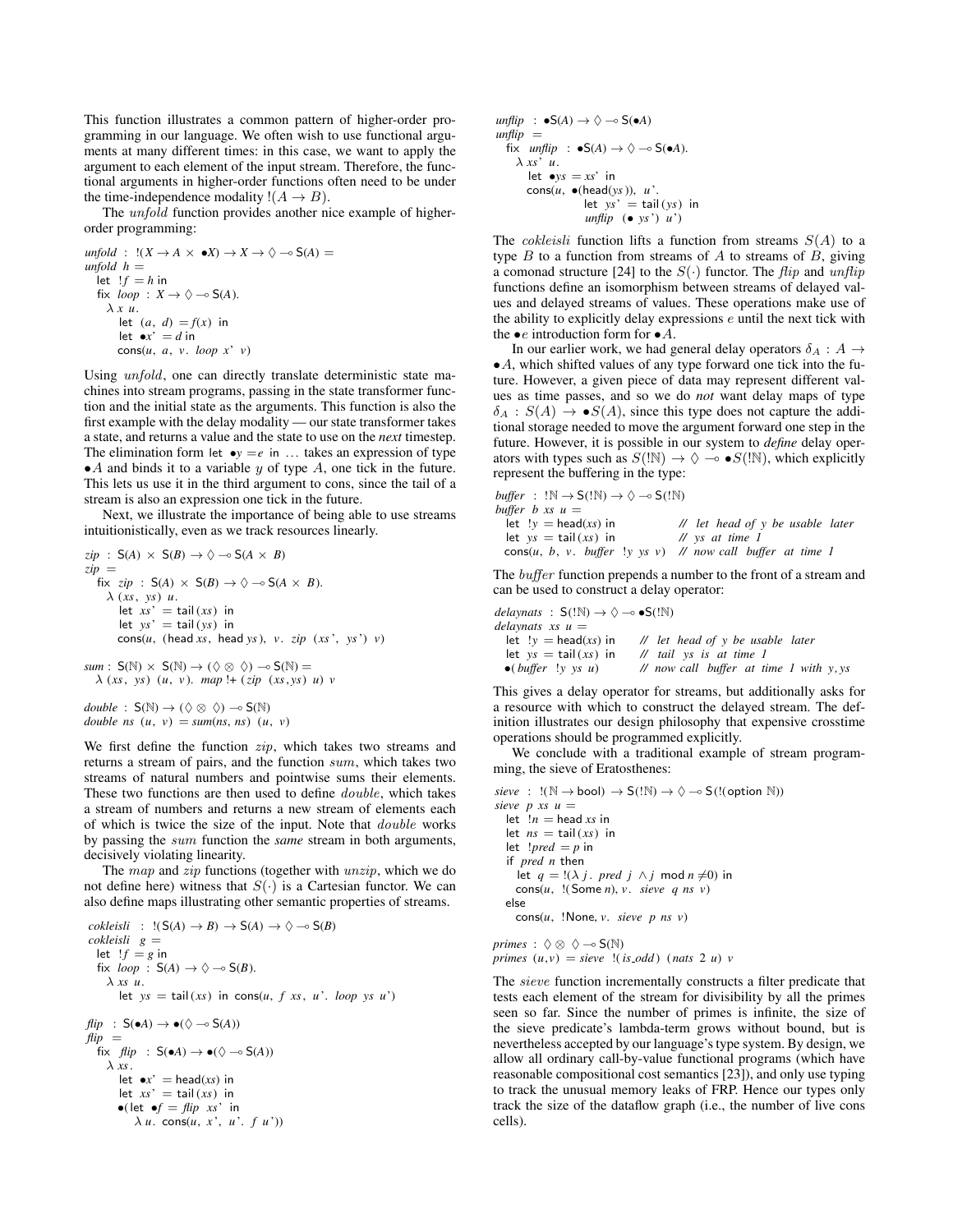This function illustrates a common pattern of higher-order programming in our language. We often wish to use functional arguments at many different times: in this case, we want to apply the argument to each element of the input stream. Therefore, the functional arguments in higher-order functions often need to be under the time-independence modality  $!(A \rightarrow B)$ .

The *unfold* function provides another nice example of higherorder programming:

$$
unfold: \quad !(X \to A \times \bullet X) \to X \to \Diamond \multimap S(A) =
$$
\n
$$
unfold \quad h =
$$
\n
$$
let \quad !f = h \text{ in}
$$
\n
$$
fix \quad loop: X \to \Diamond \multimap S(A).
$$
\n
$$
\lambda x u.
$$
\n
$$
let \quad (a, d) = f(x) \text{ in}
$$
\n
$$
let \bullet x^* = d \text{ in}
$$
\n
$$
cons(u, a, v. \quad loop \quad x^* v)
$$

Using unfold, one can directly translate deterministic state machines into stream programs, passing in the state transformer function and the initial state as the arguments. This function is also the first example with the delay modality — our state transformer takes a state, and returns a value and the state to use on the *next* timestep. The elimination form let  $\bullet$ *y* = *e* in ... takes an expression of type  $\bullet$  A and binds it to a variable y of type A, one tick in the future. This lets us use it in the third argument to cons, since the tail of a stream is also an expression one tick in the future.

Next, we illustrate the importance of being able to use streams intuitionistically, even as we track resources linearly.

$$
zip : S(A) \times S(B) \rightarrow \Diamond \neg S(A \times B)
$$
  
\n
$$
zip =
$$
  
\nfix zip : S(A) × S(B) \rightarrow \Diamond \neg S(A \times B).  
\n
$$
\lambda (xs, ys) u.
$$
  
\nlet xs' = tail(xs) in  
\nlet ys' = tail(sys) in  
\ncons(u, (head xs, head ys), v. zip (xs', ys') v)  
\nsum : S(N) × S(N) → (∇ ∞ ∨ ∼ S(N) =  
\n
$$
\lambda (xs, ys) (u, v). map !+ (zip (xs, ys) u) v
$$

 $double : S(N) \rightarrow (\Diamond \otimes \Diamond) \rightarrow S(N)$ *double ns*  $(u, v) = \text{sum}(ns, ns)$   $(u, v)$ 

We first define the function *zip*, which takes two streams and returns a stream of pairs, and the function sum, which takes two streams of natural numbers and pointwise sums their elements. These two functions are then used to define *double*, which takes a stream of numbers and returns a new stream of elements each of which is twice the size of the input. Note that double works by passing the sum function the *same* stream in both arguments, decisively violating linearity.

The map and zip functions (together with unzip, which we do not define here) witness that  $S(\cdot)$  is a Cartesian functor. We can also define maps illustrating other semantic properties of streams.

```
cokleisli : !(S(A) \rightarrow B) \rightarrow S(A) \rightarrow \Diamond \neg \circ S(B)cokleisli g =
  let !f = g in
  fix loop : S(A) \rightarrow \Diamond \neg \circ S(B).
      λ xs u.
         let ys = \text{tail}(xs) in \text{cons}(u, f xs, u'. \text{loop ys } u')flip : S(\bullet A) \rightarrow \bullet (\Diamond \multimap S(A))f<i>flip =fix flip : S(\bullet A) \rightarrow \bullet (\Diamond \multimap S(A))λ xs.
         let \bullet x' = \text{head}(xs) in
         let xs' = \text{tail}(xs) in
         \bullet(let \bulletf = flip xs' in
              \lambda u. cons(u, x<sup>2</sup>, u<sup>2</sup>, f u<sup>2</sup>))
```

```
unflip : \bullet S(A) \rightarrow \Diamond \rightarrow S(\bullet A)unflip =fix unflip : \bullet S(A) \rightarrow \Diamond \multimap S(\bullet A).
      λ xs' u.
          let \bulletys = xs' in
          cons(u, •(head(ys)), u '.
                           let ys' = tail(sys) in
                            unflip \left( \bullet \text{ vs'} \right) \left( u' \right)
```
The *cokleisli* function lifts a function from streams  $S(A)$  to a type  $B$  to a function from streams of  $A$  to streams of  $B$ , giving a comonad structure [24] to the  $S(\cdot)$  functor. The *flip* and *unflip* functions define an isomorphism between streams of delayed values and delayed streams of values. These operations make use of the ability to explicitly delay expressions e until the next tick with the  $\bullet e$  introduction form for  $\bullet A$ .

In our earlier work, we had general delay operators  $\delta_A : A \rightarrow$  $\bullet$  A, which shifted values of any type forward one tick into the future. However, a given piece of data may represent different values as time passes, and so we do *not* want delay maps of type  $\delta_A : S(A) \to \bullet S(A)$ , since this type does not capture the additional storage needed to move the argument forward one step in the future. However, it is possible in our system to *define* delay operators with types such as  $S(\mathbb{N}) \to \Diamond \multimap S(\mathbb{N})$ , which explicitly represent the buffering in the type:

\n
$$
buffer : !\mathbb{N} \rightarrow S(!\mathbb{N}) \rightarrow \Diamond \neg S(!\mathbb{N})
$$
\n

\n\n $buffer \, b \, xs \, u =$ \n

\n\n $let \, !y = head(xs) \, in$ \n

\n\n $d \, t$ \n

\n\n $let \, bs \, u =$ \n

\n\n $let \, ys = tail(xs) \, in$ \n

\n\n $d \, y \, s \, at \, time \, l$ \n

\n\n $const(u, b, v, buffer \, !y \, ys \, v) \, \text{if} \, now \, call \, buffer \, at \, time \, l$ \n

The *buffer* function prepends a number to the front of a stream and can be used to construct a delay operator:

```
delaynats : S(!N) \rightarrow \Diamond \multimap S(!N)delaynats xs u = let \, y = head(xs) in
                               // let head of y be usable later
  let ys = \text{tail}(xs) in // tail ys is at time 1
  •( buffer !y ys u) // now call buffer at time 1 with y, ys
```
This gives a delay operator for streams, but additionally asks for a resource with which to construct the delayed stream. The definition illustrates our design philosophy that expensive crosstime operations should be programmed explicitly.

We conclude with a traditional example of stream programming, the sieve of Eratosthenes:

```
\text{size } : !(\mathbb{N} \rightarrow \text{bool}) \rightarrow \mathsf{S}(!\mathbb{N}) \rightarrow \Diamond \rightarrow \mathsf{S}(!(\text{option } \mathbb{N}))\textit{size} p \textit{xs} \textit{u} =
   let !n = head xs in
   let ns = \text{tail}(xs) in
   let !pred = p in
   if pred n then
      let q = !(\lambda j \text{ and } j \wedge j \text{ mod } n \neq 0) in
      cons(u, !(Some n), v. sieve q ns v)
   else
      cons(u, !None, v. sieve p ns v)
```

```
primes : \Diamond \otimes \Diamond \neg \circ S(\mathbb{N})primes (u, v) = sieve !(is\_odd) (nats 2 u) v
```
The sieve function incrementally constructs a filter predicate that tests each element of the stream for divisibility by all the primes seen so far. Since the number of primes is infinite, the size of the sieve predicate's lambda-term grows without bound, but is nevertheless accepted by our language's type system. By design, we allow all ordinary call-by-value functional programs (which have reasonable compositional cost semantics [23]), and only use typing to track the unusual memory leaks of FRP. Hence our types only track the size of the dataflow graph (i.e., the number of live cons cells).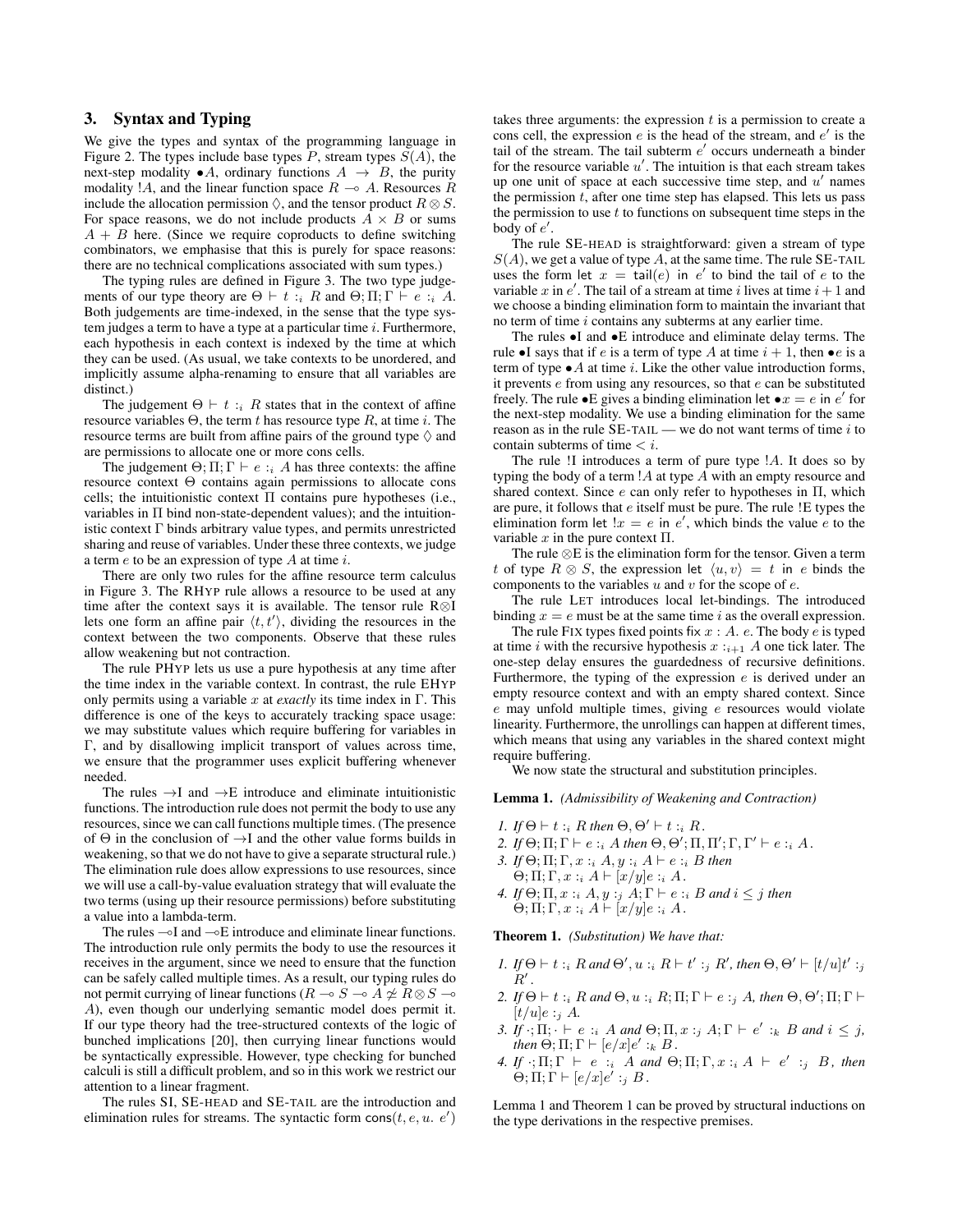# 3. Syntax and Typing

We give the types and syntax of the programming language in Figure 2. The types include base types  $P$ , stream types  $S(A)$ , the next-step modality  $\bullet A$ , ordinary functions  $A \rightarrow B$ , the purity modality !A, and the linear function space  $R \sim A$ . Resources R include the allocation permission  $\Diamond$ , and the tensor product  $R \otimes S$ . For space reasons, we do not include products  $A \times B$  or sums  $A + B$  here. (Since we require coproducts to define switching combinators, we emphasise that this is purely for space reasons: there are no technical complications associated with sum types.)

The typing rules are defined in Figure 3. The two type judgements of our type theory are  $\Theta \vdash t : i \; R$  and  $\Theta; \Pi; \Gamma \vdash e : i \; A$ . Both judgements are time-indexed, in the sense that the type system judges a term to have a type at a particular time  $i$ . Furthermore, each hypothesis in each context is indexed by the time at which they can be used. (As usual, we take contexts to be unordered, and implicitly assume alpha-renaming to ensure that all variables are distinct.)

The judgement  $\Theta \vdash t : i \; R$  states that in the context of affine resource variables  $\Theta$ , the term t has resource type R, at time i. The resource terms are built from affine pairs of the ground type  $\Diamond$  and are permissions to allocate one or more cons cells.

The judgement  $\Theta$ ;  $\Pi$ ;  $\Gamma \vdash e :_{i} A$  has three contexts: the affine resource context Θ contains again permissions to allocate cons cells; the intuitionistic context  $\Pi$  contains pure hypotheses (i.e., variables in  $\Pi$  bind non-state-dependent values); and the intuitionistic context Γ binds arbitrary value types, and permits unrestricted sharing and reuse of variables. Under these three contexts, we judge a term  $e$  to be an expression of type  $A$  at time  $i$ .

There are only two rules for the affine resource term calculus in Figure 3. The RHYP rule allows a resource to be used at any time after the context says it is available. The tensor rule R⊗I lets one form an affine pair  $\langle t, t' \rangle$ , dividing the resources in the context between the two components. Observe that these rules allow weakening but not contraction.

The rule PHYP lets us use a pure hypothesis at any time after the time index in the variable context. In contrast, the rule EHYP only permits using a variable x at *exactly* its time index in  $\Gamma$ . This difference is one of the keys to accurately tracking space usage: we may substitute values which require buffering for variables in Γ, and by disallowing implicit transport of values across time, we ensure that the programmer uses explicit buffering whenever needed.

The rules  $\rightarrow$ I and  $\rightarrow$ E introduce and eliminate intuitionistic functions. The introduction rule does not permit the body to use any resources, since we can call functions multiple times. (The presence of  $\Theta$  in the conclusion of  $\rightarrow$ I and the other value forms builds in weakening, so that we do not have to give a separate structural rule.) The elimination rule does allow expressions to use resources, since we will use a call-by-value evaluation strategy that will evaluate the two terms (using up their resource permissions) before substituting a value into a lambda-term.

The rules  $\sim$ I and  $\sim$ E introduce and eliminate linear functions. The introduction rule only permits the body to use the resources it receives in the argument, since we need to ensure that the function can be safely called multiple times. As a result, our typing rules do not permit currying of linear functions ( $R \multimap S \multimap A \not\cong R \otimes S \multimap$ A), even though our underlying semantic model does permit it. If our type theory had the tree-structured contexts of the logic of bunched implications [20], then currying linear functions would be syntactically expressible. However, type checking for bunched calculi is still a difficult problem, and so in this work we restrict our attention to a linear fragment.

The rules SI, SE-HEAD and SE-TAIL are the introduction and elimination rules for streams. The syntactic form  $\cos(t, e, u, e')$ 

takes three arguments: the expression  $t$  is a permission to create a cons cell, the expression  $e$  is the head of the stream, and  $e'$  is the tail of the stream. The tail subterm  $e'$  occurs underneath a binder for the resource variable  $u'$ . The intuition is that each stream takes up one unit of space at each successive time step, and  $u'$  names the permission  $t$ , after one time step has elapsed. This lets us pass the permission to use  $t$  to functions on subsequent time steps in the body of  $e'$ .

The rule SE-HEAD is straightforward: given a stream of type  $S(A)$ , we get a value of type A, at the same time. The rule SE-TAIL uses the form let  $x = \text{tail}(e)$  in  $e'$  to bind the tail of e to the variable x in  $e'$ . The tail of a stream at time i lives at time  $i+1$  and we choose a binding elimination form to maintain the invariant that no term of time i contains any subterms at any earlier time.

The rules •I and •E introduce and eliminate delay terms. The rule •I says that if e is a term of type A at time  $i + 1$ , then •e is a term of type  $\bullet$  A at time *i*. Like the other value introduction forms, it prevents  $e$  from using any resources, so that  $e$  can be substituted freely. The rule  $\bullet$  E gives a binding elimination let  $\bullet x = e$  in  $e'$  for the next-step modality. We use a binding elimination for the same reason as in the rule  $SE$ -TAIL — we do not want terms of time  $i$  to contain subterms of time  $.$ 

The rule !I introduces a term of pure type !A. It does so by typing the body of a term  $A$  at type A with an empty resource and shared context. Since  $e$  can only refer to hypotheses in  $\Pi$ , which are pure, it follows that e itself must be pure. The rule !E types the elimination form let  $x = e$  in  $e'$ , which binds the value e to the variable  $x$  in the pure context  $\Pi$ .

The rule ⊗E is the elimination form for the tensor. Given a term t of type  $R \otimes S$ , the expression let  $\langle u, v \rangle = t$  in e binds the components to the variables  $u$  and  $v$  for the scope of  $e$ .

The rule LET introduces local let-bindings. The introduced binding  $x = e$  must be at the same time i as the overall expression.

The rule FIX types fixed points fix  $x : A$ . e. The body e is typed at time i with the recursive hypothesis  $x :_{i+1} A$  one tick later. The one-step delay ensures the guardedness of recursive definitions. Furthermore, the typing of the expression  $e$  is derived under an empty resource context and with an empty shared context. Since e may unfold multiple times, giving e resources would violate linearity. Furthermore, the unrollings can happen at different times, which means that using any variables in the shared context might require buffering.

We now state the structural and substitution principles.

Lemma 1. *(Admissibility of Weakening and Contraction)*

- *1. If*  $\Theta \vdash t :_i R$  *then*  $\Theta$ ,  $\Theta' \vdash t :_i R$ *.*
- 2. If  $\Theta$ ;  $\Pi$ ;  $\Gamma \vdash e :_i A$  *then*  $\Theta$ ,  $\Theta'$ ;  $\Pi$ ,  $\Pi'$ ;  $\Gamma$ ,  $\Gamma' \vdash e :_i A$ .
- *3. If*  $\Theta$ ;  $\Pi$ ;  $\Gamma$ ,  $x :_{i} A$ ,  $y :_{i} A \vdash e :_{i} B$  *then*
- $\Theta; \Pi; \Gamma, x : A \vdash [x/y]e : A$ .
- *4. If*  $\Theta$ ;  $\Pi$ ,  $x :_{i} A$ ,  $y :_{j} A$ ;  $\Gamma \vdash e :_{i} B$  *and*  $i \leq j$  *then*  $\Theta$ ;  $\Pi$ ;  $\Gamma$ ,  $x :_i A \vdash [x/y]e :_i A$ .

Theorem 1. *(Substitution) We have that:*

- *1. If*  $\Theta \vdash t :_i R$  *and*  $\Theta', u :_i R \vdash t' :_j R',$  *then*  $\Theta, \Theta' \vdash [t/u]t' :_j$  $R'$ .
- 2. If  $\Theta \vdash t :_i R$  and  $\Theta, u :_i R; \Pi; \Gamma \vdash e :_j A$ , then  $\Theta, \Theta'; \Pi; \Gamma \vdash$  $[t/u]e :_j A$ .
- *3. If*  $\cdot$ ;  $\Pi$ ;  $\cdot \vdash e$  :<sub>*i*</sub> *A* and  $\Theta$ ;  $\Pi$ ,  $x \cdot j$  *A*;  $\Gamma \vdash e' :_k B$  *and*  $i \leq j$ , *then*  $\Theta$ ;  $\Pi$ ;  $\Gamma \vdash [e/x]e' :_k B$ .
- 4. If  $\cdot$ ;  $\Pi$ ;  $\Gamma \vdash e$  :*i* A and  $\Theta$ ;  $\Pi$ ;  $\Gamma$ ,  $x :$ <sub>i</sub> A  $\vdash e'$  :*j* B, then  $\Theta$ ;  $\Pi$ ;  $\Gamma \vdash [e/x]e' :_j B$ .

Lemma 1 and Theorem 1 can be proved by structural inductions on the type derivations in the respective premises.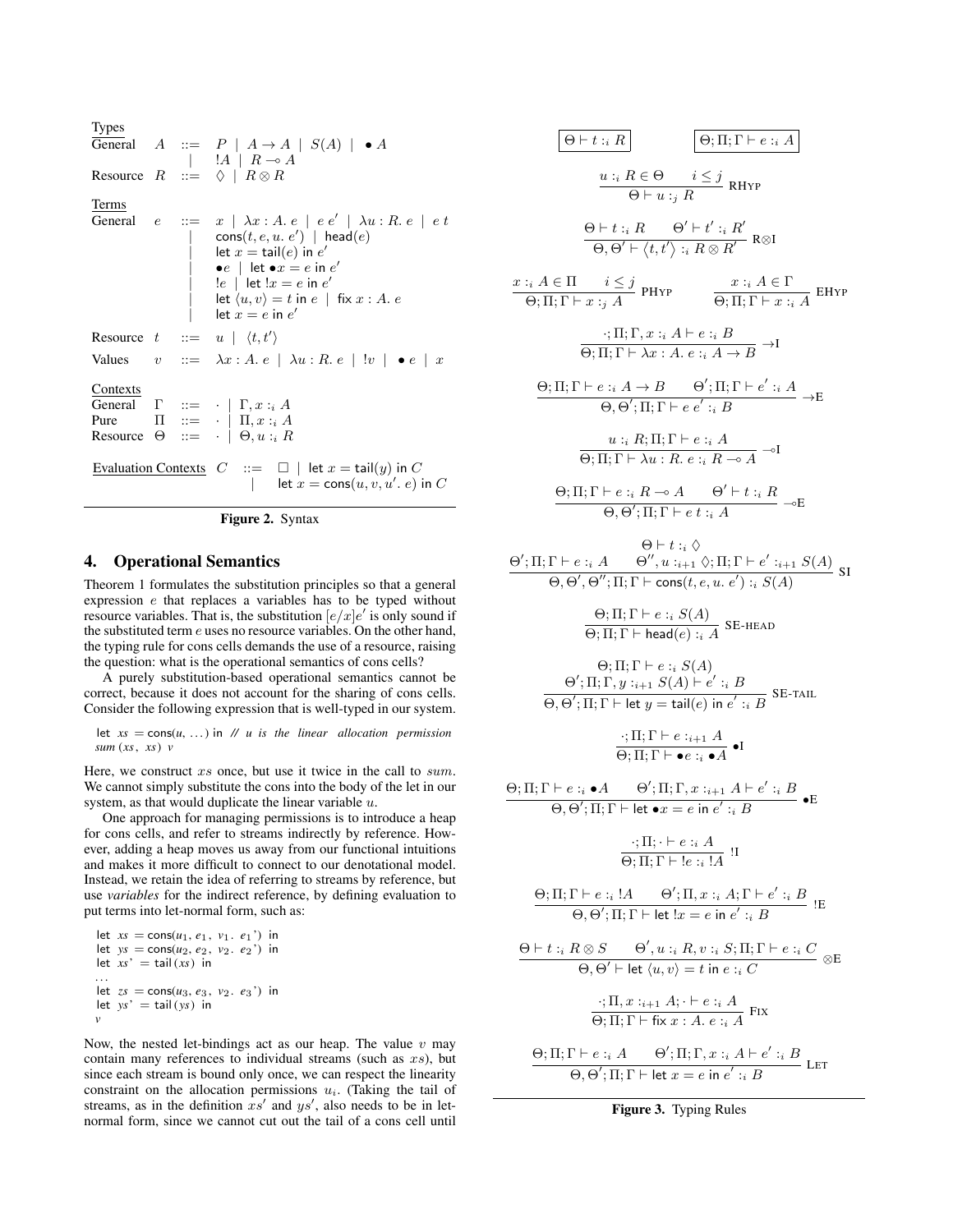| Types                                                                                                                                                                                                                                                                                                                                                    | $A$ ::= $P \mid A \rightarrow A \mid S(A) \mid \bullet A$                            |
|----------------------------------------------------------------------------------------------------------------------------------------------------------------------------------------------------------------------------------------------------------------------------------------------------------------------------------------------------------|--------------------------------------------------------------------------------------|
| - $!A \mid R \rightarrow A$                                                                                                                                                                                                                                                                                                                              |                                                                                      |
| Resource                                                                                                                                                                                                                                                                                                                                                 | $R$ ::= $\Diamond \mid R \otimes R$                                                  |
| Terms                                                                                                                                                                                                                                                                                                                                                    | $e$ ::= $x \mid \lambda x : A \cdot e \mid e e' \mid \lambda u : R \cdot e \mid e t$ |
| - $cos(t, e, u, e') \mid head(e)$                                                                                                                                                                                                                                                                                                                        |                                                                                      |
| - $etc$ = $tan(e)$ in $e'$                                                                                                                                                                                                                                                                                                                               |                                                                                      |
| - $etc$ = $e$ in $e'$                                                                                                                                                                                                                                                                                                                                    |                                                                                      |
| - $etc$ = $e$ in $e'$                                                                                                                                                                                                                                                                                                                                    |                                                                                      |
| - $etc$ = $\langle e \mid let \cdot x = e$ in $e'$                                                                                                                                                                                                                                                                                                       |                                                                                      |
| - $etc$ = $\langle e \mid e \mid \exists x : A \cdot e \mid \exists x : A \cdot e \mid \exists x : A \cdot e \mid \exists x : A \cdot e \mid \exists x : A \cdot e \mid \exists x : A \cdot e \mid \exists x : A \cdot e \mid \exists x : A \cdot e \mid \exists x : A \cdot e \mid \exists x : A \cdot e \mid \exists x : A \cdot e \mid \exists x : A$ |                                                                                      |
| True                                                                                                                                                                                                                                                                                                                                                     | $\Pi$ ::= $\neg \mid \Pi, x : A$                                                     |
| Prove                                                                                                                                                                                                                                                                                                                                                    | $\Pi$ ::= $\neg \mid \Pi, x : A$                                                     |
| Prove                                                                                                                                                                                                                                                                                                                                                    | $\Pi$ ::= $\neg \mid \exists x : A$                                                  |
| Even                                                                                                                                                                                                                                                                                                                                                     | $\Pi$ ::= $\neg \mid \exists x : A$                                                  |
| Even                                                                                                                                                                                                                                                                                                                                                     | $\Pi$ ::= $\neg \mid \exists x : A$                                                  |
| Even                                                                                                                                                                                                                                                                                                                                                     | $\Pi$ ::= $\neg \mid \exists x : A$                                                  |
| Even                                                                                                                                                                                                                                                                                                                                                     | <                                                                                    |



## 4. Operational Semantics

Theorem 1 formulates the substitution principles so that a general expression e that replaces a variables has to be typed without resource variables. That is, the substitution  $\left[e/x\right]e'$  is only sound if the substituted term e uses no resource variables. On the other hand, the typing rule for cons cells demands the use of a resource, raising the question: what is the operational semantics of cons cells?

A purely substitution-based operational semantics cannot be correct, because it does not account for the sharing of cons cells. Consider the following expression that is well-typed in our system.

let  $xs = \cos(u, ...)$  in *// u is the linear allocation permission sum* (*xs*, *xs*) *v*

Here, we construct xs once, but use it twice in the call to sum. We cannot simply substitute the cons into the body of the let in our system, as that would duplicate the linear variable  $u$ .

One approach for managing permissions is to introduce a heap for cons cells, and refer to streams indirectly by reference. However, adding a heap moves us away from our functional intuitions and makes it more difficult to connect to our denotational model. Instead, we retain the idea of referring to streams by reference, but use *variables* for the indirect reference, by defining evaluation to put terms into let-normal form, such as:

let 
$$
xs = \cos(u_1, e_1, v_1, e_1')
$$
 in let  $ys = \cos(u_2, e_2, v_2, e_2')$  in let  $xs' = \text{tail}(xs)$  in  $\cdots$   $\cdots$   $\cdots$   $ts' = \cos(u_3, e_3, v_2, e_3')$  in let  $ys' = \text{tail}(ys)$  in  $y$ 

Now, the nested let-bindings act as our heap. The value  $v$  may contain many references to individual streams (such as  $xs$ ), but since each stream is bound only once, we can respect the linearity constraint on the allocation permissions  $u_i$ . (Taking the tail of streams, as in the definition  $xs'$  and  $ys'$ , also needs to be in letnormal form, since we cannot cut out the tail of a cons cell until

$$
\frac{\Theta+ t :_{i} R}{\Theta+ u :_{j} R} \qquad \frac{\Theta; \Pi; \Gamma \vdash e :_{i} A}{\Theta+ u :_{j} R} \n\underline{u :_{i} R \in \Theta} \qquad i \leq j \text{ RHYP} \n\underline{\Theta+t :_{i} R} \qquad \Theta' + t' :_{i} R' \qquad \text{ReJ} \n\underline{x :_{i} A \in \Pi} \qquad i \leq j \text{ PHYP} \qquad \frac{x :_{i} A \in \Gamma}{\Theta; \Pi; \Gamma \vdash x :_{j} A} \qquad \text{EHYP} \n\underline{x :_{i} A \in \Pi} \qquad i \leq j \text{ PHYP} \qquad \frac{x :_{i} A \in \Gamma}{\Theta; \Pi; \Gamma \vdash x :_{i} A} \qquad \text{EHYP} \n\underline{\cdots}; \Pi; \Gamma, x :_{i} A \vdash e :_{i} B \qquad \overline{\Theta; \Pi; \Gamma \vdash x :_{i} A} \qquad \text{EHYP} \n\underline{\cdots}; \Pi; \Gamma \vdash x :_{i} A \rightarrow B \qquad \Theta'; \Pi; \Gamma \vdash e' :_{i} A \qquad \overline{\Theta; \Pi; \Gamma \vdash a :_{i} A \rightarrow E} \qquad \text{EH'S} \qquad \overline{\Theta; \Pi; \Gamma \vdash e :_{i} A \rightarrow \Theta} \qquad \text{E} \qquad \text{E} \vdash \overline{\Theta; \Pi; \Gamma \vdash e :_{i} A \rightarrow \Theta} \qquad \text{E} \vdash t :_{i} A \qquad \overline{\Theta; \Pi; \Gamma \vdash e :_{i} A \rightarrow \Theta'' : \text{H}: \Gamma \vdash e :_{i} A \qquad \overline{\Theta; \Pi; \Gamma \vdash e :_{i} A \rightarrow \Theta'' : \text{H}: \Gamma \vdash e :_{i} A \qquad \text{E} \vdash \text{H} \text{A}} \qquad \text{E} \vdash \text{H} \text{A} \text{B} \text{S} \text{S}
$$
\n
$$
\frac{\Theta; \Pi; \Gamma \vdash e :_{i} A \qquad \Theta'', u :_{i+1} \diamondsuit; \Pi; \Gamma \vdash e' :_{i+1} S(A)}{\Theta, \Theta', \Theta'; \Pi; \Gamma \vdash \text{C} \text{S
$$

Figure 3. Typing Rules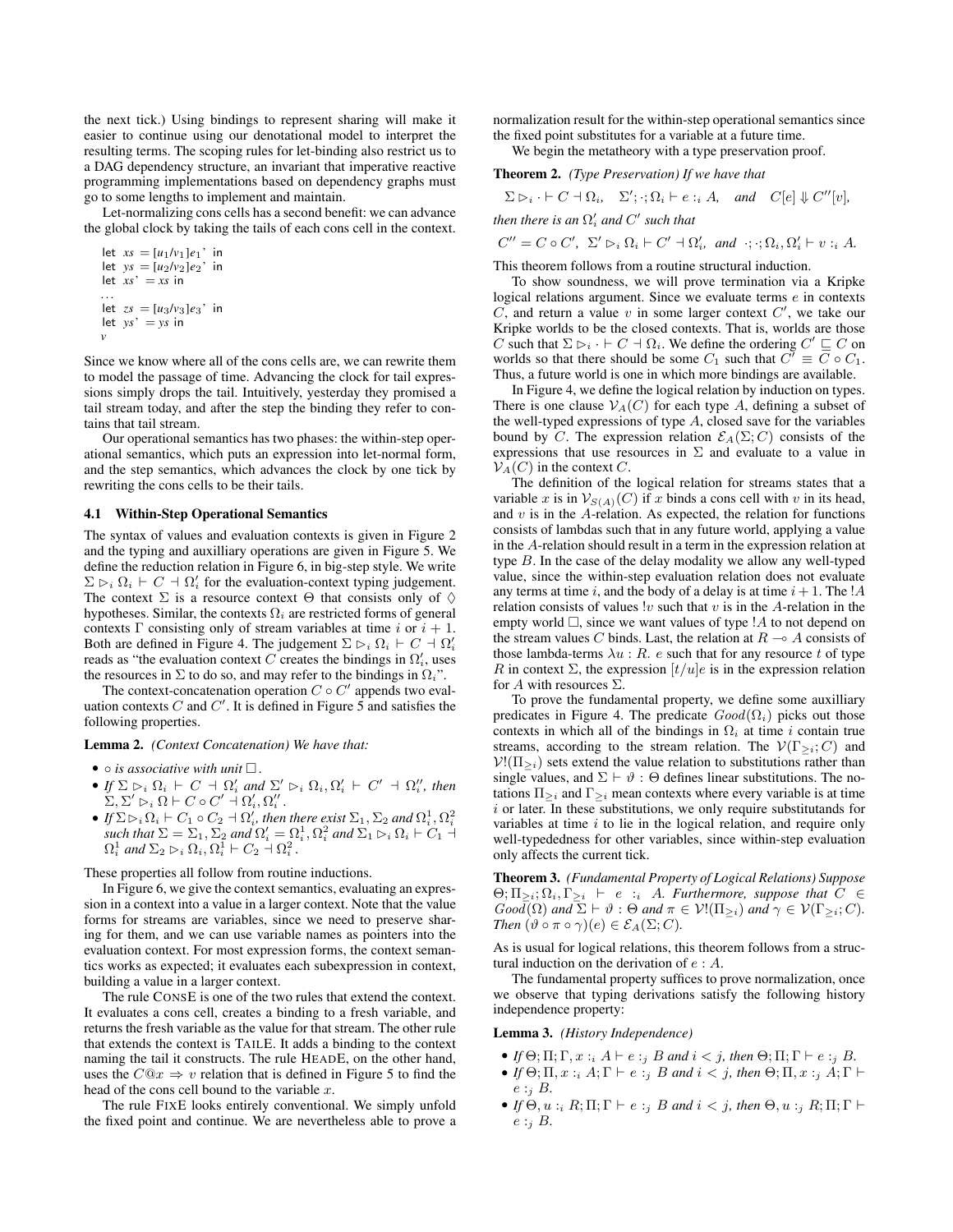the next tick.) Using bindings to represent sharing will make it easier to continue using our denotational model to interpret the resulting terms. The scoping rules for let-binding also restrict us to a DAG dependency structure, an invariant that imperative reactive programming implementations based on dependency graphs must go to some lengths to implement and maintain.

Let-normalizing cons cells has a second benefit: we can advance the global clock by taking the tails of each cons cell in the context.

```
let xs = [u_1/v_1]e_1' in
let ys = [u_2/v_2]e_2' in
let xs' = xs in
. . .
let zs = [u_3/v_3]e_3' in
let ys' = ys in
v
```
Since we know where all of the cons cells are, we can rewrite them to model the passage of time. Advancing the clock for tail expressions simply drops the tail. Intuitively, yesterday they promised a tail stream today, and after the step the binding they refer to contains that tail stream.

Our operational semantics has two phases: the within-step operational semantics, which puts an expression into let-normal form, and the step semantics, which advances the clock by one tick by rewriting the cons cells to be their tails.

#### 4.1 Within-Step Operational Semantics

The syntax of values and evaluation contexts is given in Figure 2 and the typing and auxilliary operations are given in Figure 5. We define the reduction relation in Figure 6, in big-step style. We write  $\Sigma \rhd_i \Omega_i \vdash C \dashv \Omega'_i$  for the evaluation-context typing judgement. The context  $\Sigma$  is a resource context  $\Theta$  that consists only of  $\diamond$ hypotheses. Similar, the contexts  $\Omega_i$  are restricted forms of general contexts Γ consisting only of stream variables at time i or  $i + 1$ . Both are defined in Figure 4. The judgement  $\Sigma \rhd_i \Omega_i \vdash C \dashv \Omega'_i$ reads as "the evaluation context C creates the bindings in  $\Omega'_i$ , uses the resources in  $\Sigma$  to do so, and may refer to the bindings in  $\Omega_i$ ".

The context-concatenation operation  $C \circ C'$  appends two evaluation contexts C and C'. It is defined in Figure 5 and satisfies the following properties.

#### Lemma 2. *(Context Concatenation) We have that:*

- $\circ$  *is associative with unit*  $\Box$ *.*
- If  $\Sigma \rhd_i \Omega_i \vdash C \dashv \Omega'_i$  and  $\Sigma' \rhd_i \Omega_i, \Omega'_i \vdash C' \dashv \Omega''_i$ , then  $\Sigma, \Sigma' \rhd_i \Omega \vdash C \circ C' \dashv \Omega_i', \Omega_i''$ .
- If  $\Sigma \rhd_i \Omega_i \vdash C_1 \circ C_2 \vdash \Omega'_i$ , then there exist  $\Sigma_1, \Sigma_2$  and  $\Omega_i^1, \Omega_i^2$ such that  $\Sigma = \Sigma_1$ ,  $\Sigma_2$  and  $\Omega'_i = \Omega_i^1$ ,  $\Omega_i^2$  and  $\Sigma_1 \rhd_i \Omega_i \vdash C_1$ .  $\Omega_i^1$  and  $\Sigma_2 \rhd_i \Omega_i$ ,  $\Omega_i^1 \vdash C_2 \vdash \Omega_i^2$ .

These properties all follow from routine inductions.

In Figure 6, we give the context semantics, evaluating an expression in a context into a value in a larger context. Note that the value forms for streams are variables, since we need to preserve sharing for them, and we can use variable names as pointers into the evaluation context. For most expression forms, the context semantics works as expected; it evaluates each subexpression in context, building a value in a larger context.

The rule CONSE is one of the two rules that extend the context. It evaluates a cons cell, creates a binding to a fresh variable, and returns the fresh variable as the value for that stream. The other rule that extends the context is TAILE. It adds a binding to the context naming the tail it constructs. The rule HEADE, on the other hand, uses the  $C@x \Rightarrow v$  relation that is defined in Figure 5 to find the head of the cons cell bound to the variable  $x$ .

The rule FIXE looks entirely conventional. We simply unfold the fixed point and continue. We are nevertheless able to prove a normalization result for the within-step operational semantics since the fixed point substitutes for a variable at a future time.

We begin the metatheory with a type preservation proof.

# Theorem 2. *(Type Preservation) If we have that*

$$
\Sigma \rhd_i \cdot \vdash C \dashv \Omega_i
$$
,  $\Sigma'; \cdot; \Omega_i \vdash e :_i A$ , and  $C[e] \Downarrow C''[v]$ ,

then there is an 
$$
\Omega'_i
$$
 and C' such that

$$
C'' = C \circ C', \ \Sigma' \rhd_i \Omega_i \vdash C' \dashv \Omega_i', \ \text{and} \ \cdot; \cdot; \Omega_i, \Omega_i' \vdash v : \iota A.
$$

This theorem follows from a routine structural induction.

To show soundness, we will prove termination via a Kripke logical relations argument. Since we evaluate terms e in contexts  $C$ , and return a value  $v$  in some larger context  $C'$ , we take our Kripke worlds to be the closed contexts. That is, worlds are those C such that  $\Sigma \rhd_i \cdot \vdash C \dashv \Omega_i$ . We define the ordering  $C' \sqsubseteq C$  on worlds so that there should be some  $C_1$  such that  $C' \equiv \overline{C} \circ C_1$ . Thus, a future world is one in which more bindings are available.

In Figure 4, we define the logical relation by induction on types. There is one clause  $\mathcal{V}_A(C)$  for each type A, defining a subset of the well-typed expressions of type  $A$ , closed save for the variables bound by C. The expression relation  $\mathcal{E}_A(\Sigma;C)$  consists of the expressions that use resources in  $\Sigma$  and evaluate to a value in  $\mathcal{V}_A(C)$  in the context C.

The definition of the logical relation for streams states that a variable x is in  $V_{S(A)}(C)$  if x binds a cons cell with v in its head, and  $v$  is in the  $A$ -relation. As expected, the relation for functions consists of lambdas such that in any future world, applying a value in the A-relation should result in a term in the expression relation at type B. In the case of the delay modality we allow any well-typed value, since the within-step evaluation relation does not evaluate any terms at time i, and the body of a delay is at time  $i + 1$ . The !A relation consists of values  $\alpha$  v such that  $v$  is in the A-relation in the empty world  $\Box$ , since we want values of type ! A to not depend on the stream values C binds. Last, the relation at  $R \sim A$  consists of those lambda-terms  $\lambda u : R$ . e such that for any resource t of type R in context  $\Sigma$ , the expression  $[t/u]e$  is in the expression relation for A with resources  $\Sigma$ .

To prove the fundamental property, we define some auxilliary predicates in Figure 4. The predicate  $Good(\Omega_i)$  picks out those contexts in which all of the bindings in  $\Omega_i$  at time i contain true streams, according to the stream relation. The  $V(\Gamma_{\geq i}; C)$  and  $V!(\Pi_{\geq i})$  sets extend the value relation to substitutions rather than single values, and  $\Sigma \vdash \vartheta : \Theta$  defines linear substitutions. The notations  $\Pi_{\geq i}$  and  $\Gamma_{\geq i}$  mean contexts where every variable is at time  $i$  or later. In these substitutions, we only require substitutands for variables at time  $i$  to lie in the logical relation, and require only well-typededness for other variables, since within-step evaluation only affects the current tick.

Theorem 3. *(Fundamental Property of Logical Relations) Suppose*  $\Theta$ ;  $\Pi_{\geq i}$ ;  $\Omega_i$ ,  $\Gamma_{\geq i}$   $\vdash$  e :<sub>i</sub> A. Furthermore, suppose that  $C \in$  $Good(\Omega)$  and  $\Sigma \vdash \vartheta : \Theta$  and  $\pi \in \mathcal{V}(\Pi_{\geq i})$  and  $\gamma \in \mathcal{V}(\Gamma_{\geq i}; C)$ *. Then*  $(\vartheta \circ \pi \circ \gamma)(e) \in \mathcal{E}_A(\Sigma; C)$ *.* 

As is usual for logical relations, this theorem follows from a structural induction on the derivation of e : A.

The fundamental property suffices to prove normalization, once we observe that typing derivations satisfy the following history independence property:

#### Lemma 3. *(History Independence)*

- *If*  $\Theta$ ;  $\Pi$ ;  $\Gamma$ ,  $x :_{i} A \vdash e :_{j} B$  *and*  $i < j$ *, then*  $\Theta$ ;  $\Pi$ ;  $\Gamma \vdash e :_{j} B$ *.*
- *If*  $\Theta$ ;  $\Pi$ ,  $x :_{i} A$ ;  $\Gamma \vdash e :_{j} B$  *and*  $i < j$ *, then*  $\Theta$ ;  $\Pi$ ,  $x :_{j} A$ ;  $\Gamma \vdash$ e :<sup>j</sup> B*.*
- *If*  $\Theta$ ,  $u :_{i} R; \Pi; \Gamma \vdash e :_{i} B$  *and*  $i < j$ *, then*  $\Theta$ *,*  $u :_{i} R; \Pi; \Gamma \vdash$  $e :_{i} B$ .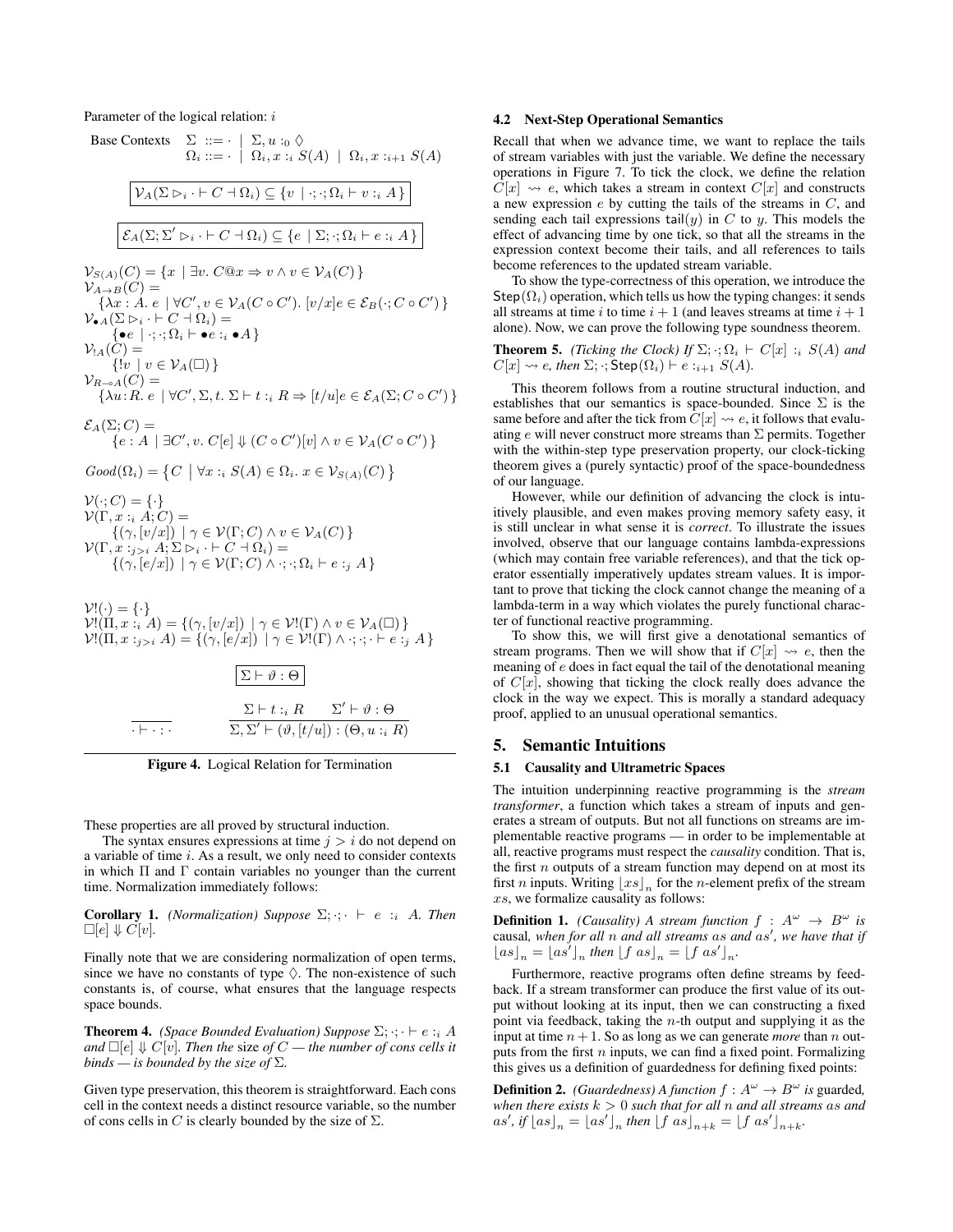Parameter of the logical relation: i



Figure 4. Logical Relation for Termination

 $\Sigma, \Sigma' \vdash (\vartheta, [t/u]) : (\Theta, u :_{i} R)$ 

These properties are all proved by structural induction.

 $\overline{\cdot + \cdot \cdot \cdot}$ 

The syntax ensures expressions at time  $j > i$  do not depend on a variable of time i. As a result, we only need to consider contexts in which  $\Pi$  and  $\Gamma$  contain variables no younger than the current time. Normalization immediately follows:

**Corollary 1.** *(Normalization)* Suppose  $\Sigma$ ;  $\cdot$ ;  $\vdash$  e :<sub>i</sub> A. Then  $\Box$ [e]  $\Downarrow$  C[v].

Finally note that we are considering normalization of open terms, since we have no constants of type  $\Diamond$ . The non-existence of such constants is, of course, what ensures that the language respects space bounds.

**Theorem 4.** *(Space Bounded Evaluation) Suppose*  $\Sigma$ ;  $\cdot$ ;  $\cdot \vdash e : i A$ *and*  $\Box$   $[e] \Downarrow C$   $[v]$ *. Then the size of*  $C$  — *the number of cons cells it binds* — *is bounded by the size of*  $\Sigma$ *.* 

Given type preservation, this theorem is straightforward. Each cons cell in the context needs a distinct resource variable, so the number of cons cells in C is clearly bounded by the size of  $\Sigma$ .

#### 4.2 Next-Step Operational Semantics

Recall that when we advance time, we want to replace the tails of stream variables with just the variable. We define the necessary operations in Figure 7. To tick the clock, we define the relation  $C[x] \rightsquigarrow e$ , which takes a stream in context  $C[x]$  and constructs a new expression  $e$  by cutting the tails of the streams in  $C$ , and sending each tail expressions  $\text{tail}(y)$  in C to y. This models the effect of advancing time by one tick, so that all the streams in the expression context become their tails, and all references to tails become references to the updated stream variable.

To show the type-correctness of this operation, we introduce the Step( $\Omega_i$ ) operation, which tells us how the typing changes: it sends all streams at time i to time  $i + 1$  (and leaves streams at time  $i + 1$ alone). Now, we can prove the following type soundness theorem.

**Theorem 5.** *(Ticking the Clock) If*  $\Sigma$ ;  $\cdot$ ;  $\Omega_i$   $\vdash$   $C[x]$  :<sub>i</sub>  $S(A)$  *and*  $C[x] \rightsquigarrow e$ , then  $\Sigma$ ;  $\cdot$ ; Step( $\Omega_i$ )  $\vdash e :_{i+1} S(A)$ .

This theorem follows from a routine structural induction, and establishes that our semantics is space-bounded. Since  $\Sigma$  is the same before and after the tick from  $\tilde{C}[x] \rightsquigarrow e$ , it follows that evaluating e will never construct more streams than  $\Sigma$  permits. Together with the within-step type preservation property, our clock-ticking theorem gives a (purely syntactic) proof of the space-boundedness of our language.

However, while our definition of advancing the clock is intuitively plausible, and even makes proving memory safety easy, it is still unclear in what sense it is *correct*. To illustrate the issues involved, observe that our language contains lambda-expressions (which may contain free variable references), and that the tick operator essentially imperatively updates stream values. It is important to prove that ticking the clock cannot change the meaning of a lambda-term in a way which violates the purely functional character of functional reactive programming.

To show this, we will first give a denotational semantics of stream programs. Then we will show that if  $C[x] \rightsquigarrow e$ , then the meaning of e does in fact equal the tail of the denotational meaning of  $C[x]$ , showing that ticking the clock really does advance the clock in the way we expect. This is morally a standard adequacy proof, applied to an unusual operational semantics.

#### 5. Semantic Intuitions

## 5.1 Causality and Ultrametric Spaces

The intuition underpinning reactive programming is the *stream transformer*, a function which takes a stream of inputs and generates a stream of outputs. But not all functions on streams are implementable reactive programs — in order to be implementable at all, reactive programs must respect the *causality* condition. That is, the first  $n$  outputs of a stream function may depend on at most its first *n* inputs. Writing  $\lfloor xs \rfloor_n$  for the *n*-element prefix of the stream xs, we formalize causality as follows:

**Definition 1.** *(Causality)* A stream function  $f : A^{\omega} \rightarrow B^{\omega}$  is causal, when for all n and all streams as and as', we have that if  $\lfloor as \rfloor_n = \lfloor as' \rfloor_n$  then  $\lfloor f \text{ as } \rfloor_n = \lfloor f \text{ as }' \rfloor_n$ .

Furthermore, reactive programs often define streams by feedback. If a stream transformer can produce the first value of its output without looking at its input, then we can constructing a fixed point via feedback, taking the  $n$ -th output and supplying it as the input at time  $n+1$ . So as long as we can generate *more* than n outputs from the first  $n$  inputs, we can find a fixed point. Formalizing this gives us a definition of guardedness for defining fixed points:

**Definition 2.** *(Guardedness)* A function  $f : A^{\omega} \to B^{\omega}$  is guarded, *when there exists*  $k > 0$  *such that for all n and all streams as and*  $as', if \lfloor as \rfloor_n = \lfloor as' \rfloor_n$  then  $\lfloor f as \rfloor_{n+k} = \lfloor f as' \rfloor_{n+k}$ .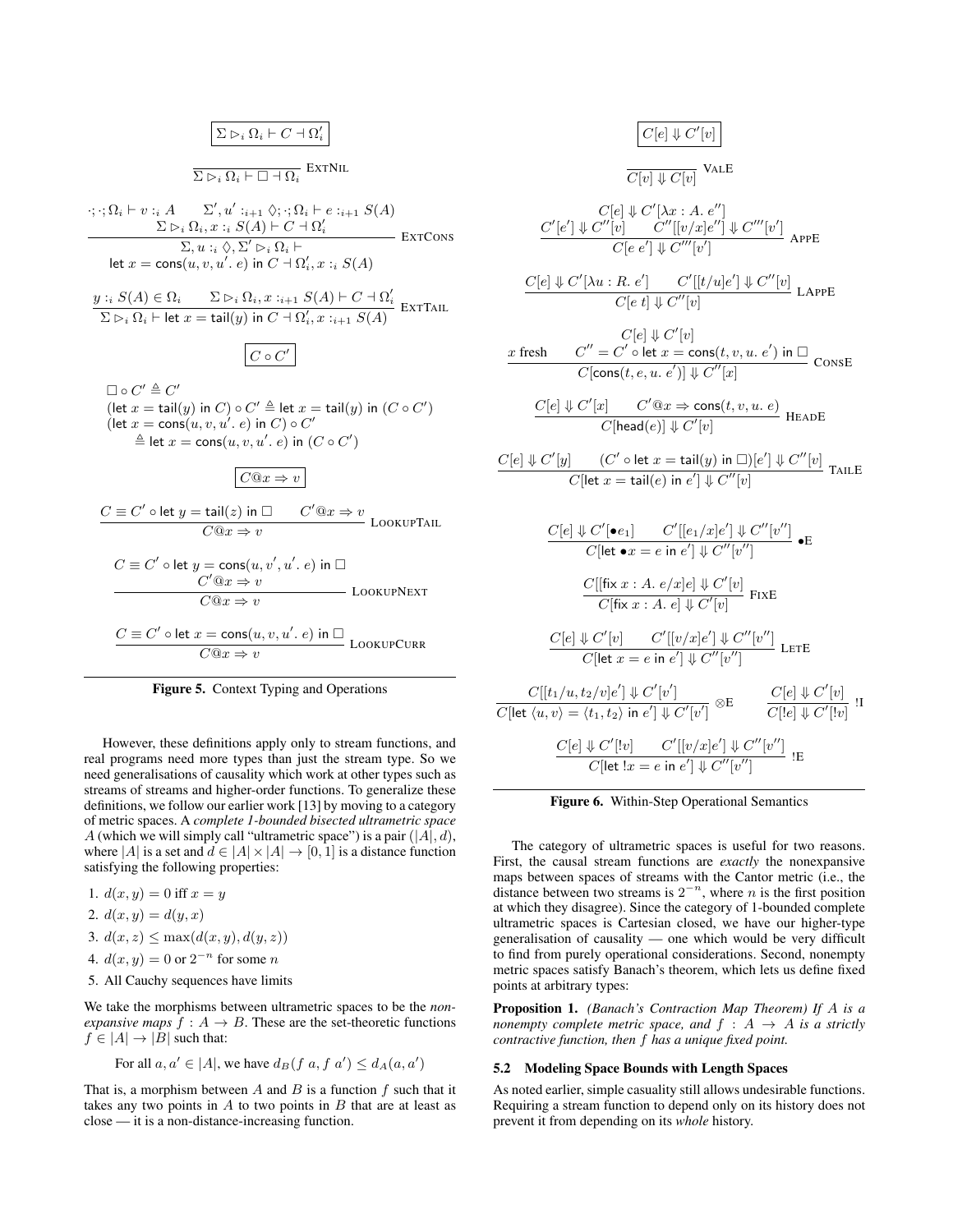$$
\mathcal{L} \rhd_i \Omega_i \vdash C \dashv \Omega_i' \right|
$$

 $\overline{\Sigma \rhd_i \Omega_i \vdash \Box \dashv \Omega_i}$  ExtNil

 $\cdot; \cdot; \Omega_i \vdash v : A \quad \Sigma', u' :_{i+1} \Diamond; \cdot; \Omega_i \vdash e :_{i+1} S(A)$  $\frac{\sum\mathcal{D}_i\ \Omega_i, x :_i S(A)\vdash C\dashv \Omega'_i}{\sum, u :_i \ \Diamond, \Sigma' \rhd_i \Omega_i \vdash}$ let  $x = \mathsf{cons}(u, v, u'.~e)$  in  $C \dashv \Omega'_{i}, x :_{i} S(A)$ EXTCONS

 $y: S(A) \in \Omega_i$   $\Sigma \rhd_i \Omega_i, x:_{i+1} S(A) \vdash C \dashv \Omega'_i$ <br>  $\Sigma \rhd_i \Omega_i \vdash \text{let } x = \text{tail}(y) \text{ in } C \dashv \Omega'_i, x:_{i+1} S(A)$  Extrall

 $C \circ C'$ 

$$
\Box \circ C' \triangleq C'
$$
  
(let  $x = \operatorname{tail}(y)$  in  $C$ )  $\circ$   $C' \triangleq$  let  $x = \operatorname{tail}(y)$  in  $(C \circ C')$   
(let  $x = \operatorname{cons}(u, v, u', e)$  in  $C$ )  $\circ$   $C'$   
 $\triangleq$  let  $x = \operatorname{cons}(u, v, u', e)$  in  $(C \circ C')$ 







However, these definitions apply only to stream functions, and real programs need more types than just the stream type. So we need generalisations of causality which work at other types such as streams of streams and higher-order functions. To generalize these definitions, we follow our earlier work [13] by moving to a category of metric spaces. A *complete 1-bounded bisected ultrametric space* A (which we will simply call "ultrametric space") is a pair  $(|A|, d)$ , where |A| is a set and  $d \in |A| \times |A| \rightarrow [0, 1]$  is a distance function satisfying the following properties:

1. 
$$
d(x, y) = 0
$$
 iff  $x = y$ 

$$
2. d(x, y) = d(y, x)
$$

$$
3. d(x, z) \le \max(d(x, y), d(y, z))
$$

4. 
$$
d(x, y) = 0
$$
 or  $2^{-n}$  for some *n*

5. All Cauchy sequences have limits

We take the morphisms between ultrametric spaces to be the *nonexpansive maps*  $f : A \rightarrow B$ . These are the set-theoretic functions  $f \in |A| \rightarrow |B|$  such that:

For all 
$$
a, a' \in |A|
$$
, we have  $ds(f a, f a') \leq d_A(a, a')$ 

That is, a morphism between  $A$  and  $B$  is a function  $f$  such that it takes any two points in  $A$  to two points in  $B$  that are at least as close — it is a non-distance-increasing function.

$$
\frac{C[e] \Downarrow C[v]}{C[v] \Downarrow C[v]} \text{ VALE}
$$
\n
$$
\frac{C'[e'] \Downarrow C''[v]}{C'[e'] \Downarrow C''[v']} \frac{C''[[v/xe''] \Downarrow C'''[v']}{C[e e'] \Downarrow C'''[v']} \text{ APPE}
$$
\n
$$
\frac{C[e] \Downarrow C'[\lambda u : R. e']}{C[e e'] \Downarrow C''[v]} \frac{C'[t/u]e'] \Downarrow C''[v]}{C[e t] \Downarrow C''[v]} \text{ LAPPE}
$$
\n
$$
\frac{C[e] \Downarrow C'[v]}{C[\cos(t, e, u, e')] \Downarrow C''[x]} \text{ LAPPE}
$$
\n
$$
\frac{C[e] \Downarrow C'[v]}{C[\cos(t, e, u, e')] \Downarrow C''[x]} \text{ ConsE}
$$
\n
$$
\frac{C[e] \Downarrow C'[x] \qquad C'\textcircled{ax} \Rightarrow \cos(t, v, u, e)}{C[\text{head}(e)] \Downarrow C'[v]} \text{ HEADE}
$$
\n
$$
\frac{C[e] \Downarrow C'[y] \qquad (C' \text{ o let } x = \text{tail}(y) \text{ in } \Box)[e'] \Downarrow C''[v]}{C[\text{let } x = \text{tail}(e) \text{ in } e'] \Downarrow C''[v']} \text{ TAILE}
$$
\n
$$
\frac{C[e] \Downarrow C'[e e_1] \qquad C'[[e_1/x]e'] \Downarrow C''[v'']}{C[[t \times x : A. e/x]e] \Downarrow C''[v'']} \bullet \text{E}
$$
\n
$$
\frac{C[[\text{fix } x : A. e/x]e] \Downarrow C''[v']}{C[\text{fix } x : A. e] \Downarrow C'[v]} \text{ FIXE}
$$
\n
$$
\frac{C[e] \Downarrow C'[v] \qquad C'[[v/x]e'] \Downarrow C''[v'']}{C[[t \times x : A. e'] \Downarrow C''[v'']} \text{ LETE}
$$
\n
$$
\frac{C[e] \Downarrow C'[v] \qquad C'[[v/x]e'] \Downarrow C''[v'']}{C[[t \times x : A. e'] \Downarrow C''[v'']} \text{ LETE}
$$
\n
$$
\frac{C[e] \Downarrow C'[v] \qquad C'[[v/x]e'] \Downarrow C''
$$

 $|C|$ 

 $C[e] \Downarrow C'[v]$ 

Figure 6. Within-Step Operational Semantics

The category of ultrametric spaces is useful for two reasons. First, the causal stream functions are *exactly* the nonexpansive maps between spaces of streams with the Cantor metric (i.e., the distance between two streams is  $2^{-n}$ , where *n* is the first position at which they disagree). Since the category of 1-bounded complete ultrametric spaces is Cartesian closed, we have our higher-type generalisation of causality — one which would be very difficult to find from purely operational considerations. Second, nonempty metric spaces satisfy Banach's theorem, which lets us define fixed points at arbitrary types:

Proposition 1. *(Banach's Contraction Map Theorem) If* A *is a nonempty complete metric space, and*  $f : A \rightarrow A$  *is a strictly contractive function, then* f *has a unique fixed point.*

# 5.2 Modeling Space Bounds with Length Spaces

As noted earlier, simple casuality still allows undesirable functions. Requiring a stream function to depend only on its history does not prevent it from depending on its *whole* history.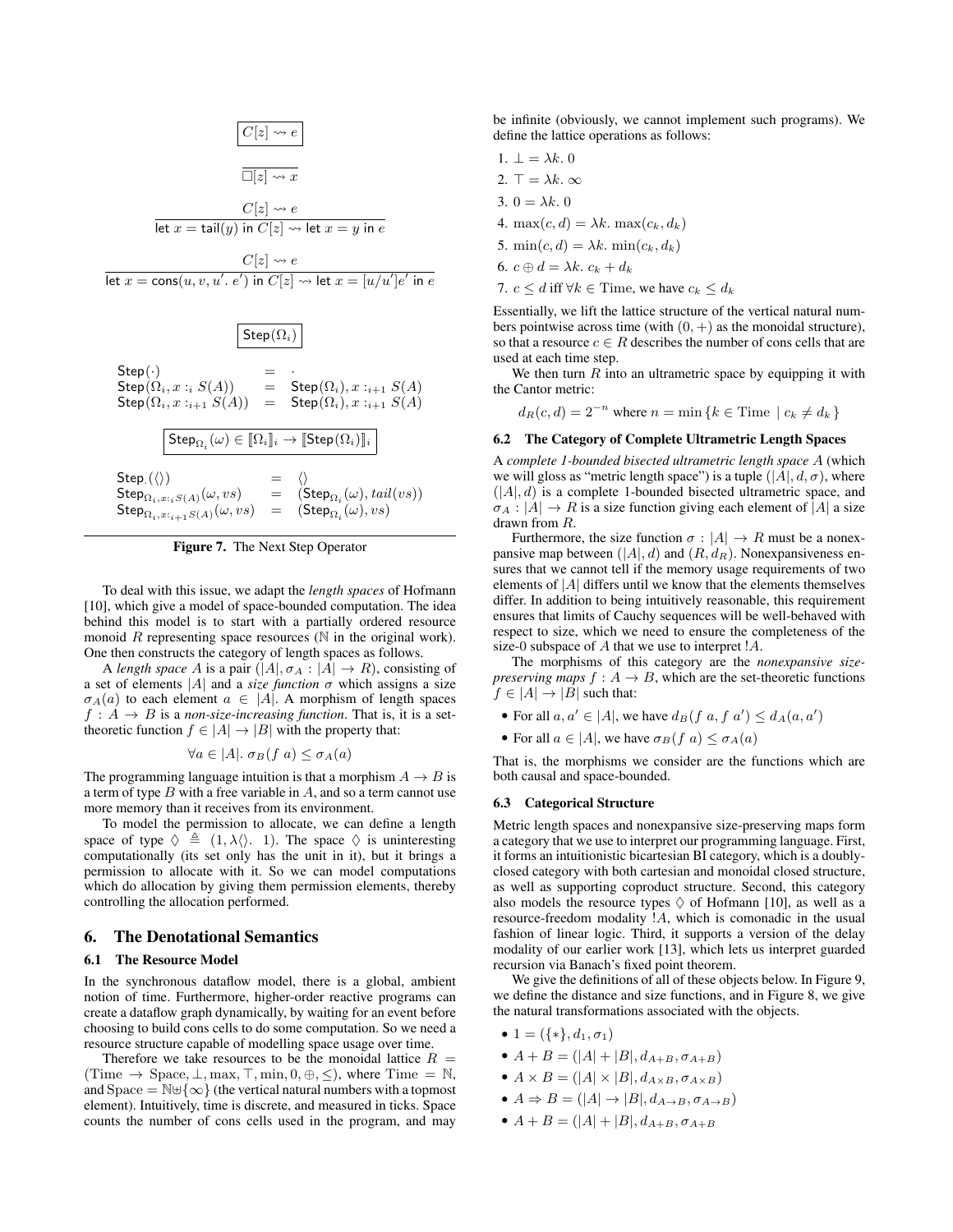

Figure 7. The Next Step Operator

To deal with this issue, we adapt the *length spaces* of Hofmann [10], which give a model of space-bounded computation. The idea behind this model is to start with a partially ordered resource monoid  $R$  representing space resources ( $N$  in the original work). One then constructs the category of length spaces as follows.

A *length space* A is a pair  $(|A|, \sigma_A : |A| \to R)$ , consisting of a set of elements  $|A|$  and a *size function*  $\sigma$  which assigns a size  $\sigma_A(a)$  to each element  $a \in |A|$ . A morphism of length spaces  $f: A \rightarrow B$  is a *non-size-increasing function*. That is, it is a settheoretic function  $f \in |A| \to |B|$  with the property that:

$$
\forall a \in |A|. \ \sigma_B(f \ a) \le \sigma_A(a)
$$

The programming language intuition is that a morphism  $A \rightarrow B$  is a term of type  $B$  with a free variable in  $A$ , and so a term cannot use more memory than it receives from its environment.

To model the permission to allocate, we can define a length space of type  $\Diamond \triangleq (1, \lambda \langle \rangle, 1)$ . The space  $\Diamond$  is uninteresting computationally (its set only has the unit in it), but it brings a permission to allocate with it. So we can model computations which do allocation by giving them permission elements, thereby controlling the allocation performed.

# 6. The Denotational Semantics

#### 6.1 The Resource Model

In the synchronous dataflow model, there is a global, ambient notion of time. Furthermore, higher-order reactive programs can create a dataflow graph dynamically, by waiting for an event before choosing to build cons cells to do some computation. So we need a resource structure capable of modelling space usage over time.

Therefore we take resources to be the monoidal lattice  $R =$ (Time  $\rightarrow$  Space,  $\perp$ , max,  $\top$ , min,  $0, \oplus$ ,  $\leq$ ), where Time = N, and Space =  $\mathbb{N} \oplus \{\infty\}$  (the vertical natural numbers with a topmost element). Intuitively, time is discrete, and measured in ticks. Space counts the number of cons cells used in the program, and may

be infinite (obviously, we cannot implement such programs). We define the lattice operations as follows:

1. 
$$
\bot = \lambda k
$$
. 0  
\n2.  $\top = \lambda k$ .  $\infty$   
\n3.  $0 = \lambda k$ . 0  
\n4.  $\max(c, d) = \lambda k$ .  $\max(c_k, d_k)$   
\n5.  $\min(c, d) = \lambda k$ .  $\min(c_k, d_k)$   
\n6.  $c \oplus d = \lambda k$ .  $c_k + d_k$   
\n7.  $c \leq d$  iff  $\forall k \in \text{Time, we have } c_k \leq d_k$ 

 $1.1.01a$ 

Essentially, we lift the lattice structure of the vertical natural numbers pointwise across time (with  $(0, +)$  as the monoidal structure), so that a resource  $c \in R$  describes the number of cons cells that are used at each time step.

We then turn  $R$  into an ultrametric space by equipping it with the Cantor metric:

 $d_R(c, d) = 2^{-n}$  where  $n = \min \{k \in \text{Time} \mid c_k \neq d_k \}$ 

#### 6.2 The Category of Complete Ultrametric Length Spaces

A *complete 1-bounded bisected ultrametric length space* A (which we will gloss as "metric length space") is a tuple  $(|A|, d, \sigma)$ , where  $(|A|, d)$  is a complete 1-bounded bisected ultrametric space, and  $\sigma_A$ :  $|A| \to R$  is a size function giving each element of |A| a size drawn from R.

Furthermore, the size function  $\sigma$  :  $|A| \to R$  must be a nonexpansive map between  $(|A|, d)$  and  $(R, d_R)$ . Nonexpansiveness ensures that we cannot tell if the memory usage requirements of two elements of  $|A|$  differs until we know that the elements themselves differ. In addition to being intuitively reasonable, this requirement ensures that limits of Cauchy sequences will be well-behaved with respect to size, which we need to ensure the completeness of the size-0 subspace of A that we use to interpret !A.

The morphisms of this category are the *nonexpansive sizepreserving maps*  $f : A \rightarrow B$ , which are the set-theoretic functions  $f \in |A| \rightarrow |B|$  such that:

- For all  $a, a' \in |A|$ , we have  $d_B(f, a, f, a') \leq d_A(a, a')$
- For all  $a \in |A|$ , we have  $\sigma_B(f \ a) \le \sigma_A(a)$

That is, the morphisms we consider are the functions which are both causal and space-bounded.

#### 6.3 Categorical Structure

Metric length spaces and nonexpansive size-preserving maps form a category that we use to interpret our programming language. First, it forms an intuitionistic bicartesian BI category, which is a doublyclosed category with both cartesian and monoidal closed structure, as well as supporting coproduct structure. Second, this category also models the resource types  $\Diamond$  of Hofmann [10], as well as a resource-freedom modality !A, which is comonadic in the usual fashion of linear logic. Third, it supports a version of the delay modality of our earlier work [13], which lets us interpret guarded recursion via Banach's fixed point theorem.

We give the definitions of all of these objects below. In Figure 9, we define the distance and size functions, and in Figure 8, we give the natural transformations associated with the objects.

- 1 =  $({\ast}, d_1, \sigma_1)$
- $A + B = (|A| + |B|, d_{A+B}, \sigma_{A+B})$
- $A \times B = (|A| \times |B|, d_{A \times B}, \sigma_{A \times B})$
- $A \Rightarrow B = (|A| \rightarrow |B|, d_{A\rightarrow B}, \sigma_{A\rightarrow B})$
- $A + B = (|A| + |B|, d_{A+B}, \sigma_{A+B})$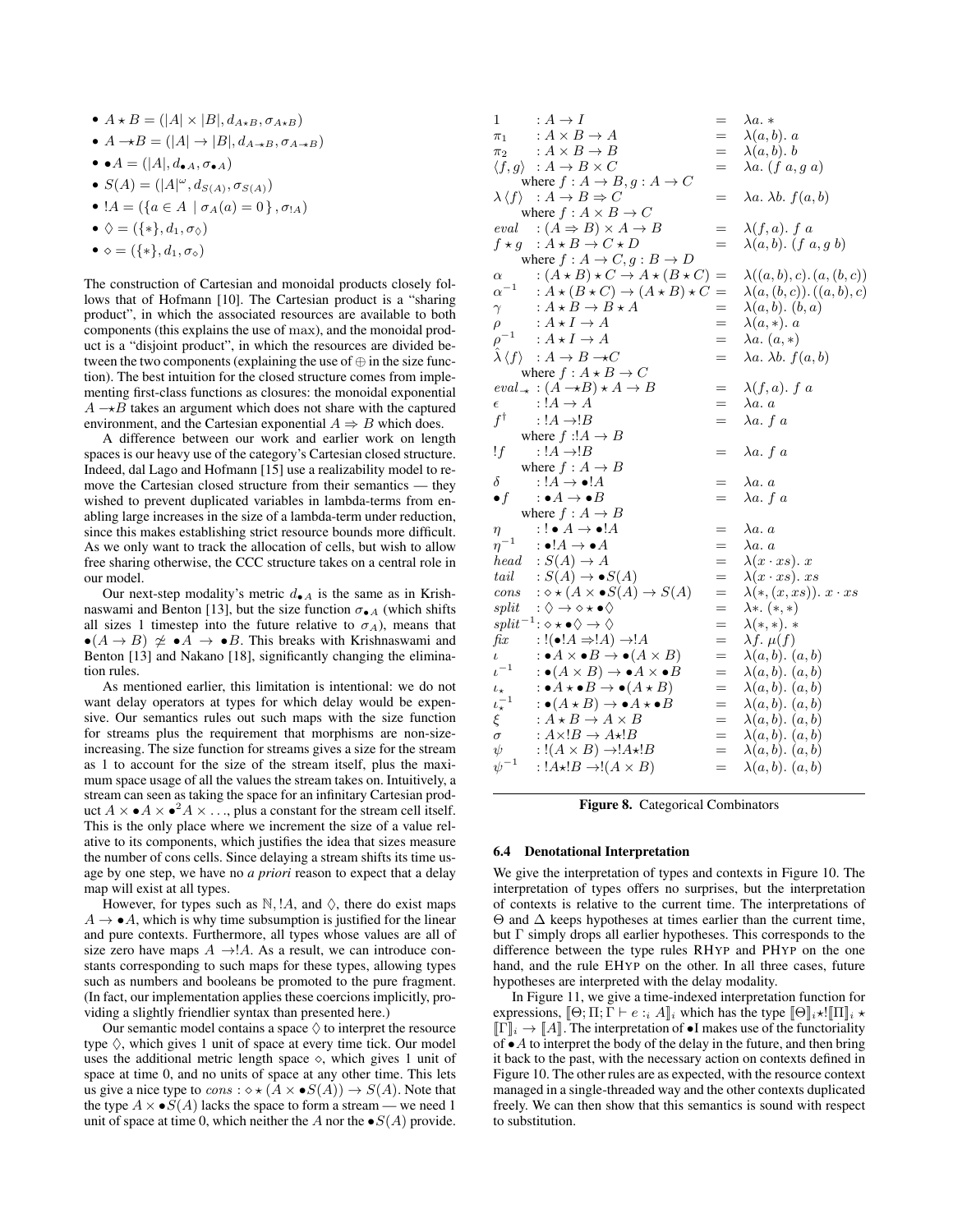- $A \star B = (|A| \times |B|, d_{A \star B}, \sigma_{A \star B})$
- $A \rightarrow B = (|A| \rightarrow |B|, d_{A \rightarrow B}, \sigma_{A \rightarrow B})$
- •  $A = (|A|, d_{\bullet A}, \sigma_{\bullet A})$
- $S(A) = (|A|^{\omega}, d_{S(A)}, \sigma_{S(A)})$
- $!A = (\{a \in A \mid \sigma_A(a) = 0\}, \sigma_A)$
- $\diamondsuit = (\{*\}, d_1, \sigma_\diamondsuit)$
- $\bullet \diamond = (\{*\}, d_1, \sigma_\diamond)$

The construction of Cartesian and monoidal products closely follows that of Hofmann [10]. The Cartesian product is a "sharing product", in which the associated resources are available to both components (this explains the use of max), and the monoidal product is a "disjoint product", in which the resources are divided between the two components (explaining the use of  $\oplus$  in the size function). The best intuition for the closed structure comes from implementing first-class functions as closures: the monoidal exponential  $A \rightarrow B$  takes an argument which does not share with the captured environment, and the Cartesian exponential  $A \Rightarrow B$  which does.

A difference between our work and earlier work on length spaces is our heavy use of the category's Cartesian closed structure. Indeed, dal Lago and Hofmann [15] use a realizability model to remove the Cartesian closed structure from their semantics — they wished to prevent duplicated variables in lambda-terms from enabling large increases in the size of a lambda-term under reduction, since this makes establishing strict resource bounds more difficult. As we only want to track the allocation of cells, but wish to allow free sharing otherwise, the CCC structure takes on a central role in our model.

Our next-step modality's metric  $d_{\bullet}A$  is the same as in Krishnaswami and Benton [13], but the size function  $\sigma_{\bullet}$  (which shifts all sizes 1 timestep into the future relative to  $\sigma_A$ ), means that  $\bullet(A \to B) \not\simeq \bullet A \to \bullet B$ . This breaks with Krishnaswami and Benton [13] and Nakano [18], significantly changing the elimination rules.

As mentioned earlier, this limitation is intentional: we do not want delay operators at types for which delay would be expensive. Our semantics rules out such maps with the size function for streams plus the requirement that morphisms are non-sizeincreasing. The size function for streams gives a size for the stream as 1 to account for the size of the stream itself, plus the maximum space usage of all the values the stream takes on. Intuitively, a stream can seen as taking the space for an infinitary Cartesian product  $A \times \bullet A \times \bullet^2 A \times \ldots$ , plus a constant for the stream cell itself. This is the only place where we increment the size of a value relative to its components, which justifies the idea that sizes measure the number of cons cells. Since delaying a stream shifts its time usage by one step, we have no *a priori* reason to expect that a delay map will exist at all types.

However, for types such as  $\mathbb{N}$ ,  $\mathbb{I}A$ , and  $\Diamond$ , there do exist maps  $A \rightarrow \bullet A$ , which is why time subsumption is justified for the linear and pure contexts. Furthermore, all types whose values are all of size zero have maps  $A \rightarrow A$ . As a result, we can introduce constants corresponding to such maps for these types, allowing types such as numbers and booleans be promoted to the pure fragment. (In fact, our implementation applies these coercions implicitly, providing a slightly friendlier syntax than presented here.)

Our semantic model contains a space  $\Diamond$  to interpret the resource type  $\Diamond$ , which gives 1 unit of space at every time tick. Our model uses the additional metric length space  $\diamond$ , which gives 1 unit of space at time 0, and no units of space at any other time. This lets us give a nice type to  $cons : \diamond \star (A \times \bullet S(A)) \to S(A)$ . Note that the type  $A \times \bullet S(A)$  lacks the space to form a stream — we need 1 unit of space at time 0, which neither the A nor the  $\bullet S(A)$  provide.

| 1                                              | $:A\to I$                                                                                                          | $=$        | $\lambda a. *$                       |
|------------------------------------------------|--------------------------------------------------------------------------------------------------------------------|------------|--------------------------------------|
|                                                | $\pi_1$ : $A \times B \to A$                                                                                       | $=$        | $\lambda(a,b)$ . a                   |
|                                                | $\pi_2$ : $A \times B \to B$                                                                                       | $=$        | $\lambda(a,b)$ . b                   |
|                                                | $\langle f,g \rangle : A \to B \times C$                                                                           | $=$        | $\lambda a. (f a, g a)$              |
| where $f: A \rightarrow B, g: A \rightarrow C$ |                                                                                                                    |            |                                      |
|                                                | $\lambda \langle f \rangle : A \to B \Rightarrow C$                                                                | $=$        | $\lambda a. \lambda b. f(a,b)$       |
|                                                | where $f : A \times B \rightarrow C$                                                                               |            |                                      |
|                                                | eval $:(A \Rightarrow B) \times A \rightarrow B$                                                                   | $=$        | $\lambda(f,a)$ . f a                 |
|                                                | $f \star g : A \star B \to C \star D$                                                                              | $=$        | $\lambda(a,b)$ . (f a, g b)          |
| where $f: A \rightarrow C, g: B \rightarrow D$ |                                                                                                                    |            |                                      |
| $\alpha$                                       | $:(A \star B) \star C \to A \star (B \star C)$                                                                     | $=$        | $\lambda((a,b),c).(a,(b,c))$         |
|                                                | $\alpha^{-1} : A \star (B \star C) \to (A \star B) \star C$                                                        | $=$        | $\lambda(a,(b,c))$ . $((a,b),c)$     |
| $\gamma$                                       | $: A \star B \to B \star A$                                                                                        | $=$        | $\lambda(a,b)$ . $(b,a)$             |
| $\rho$                                         | $: A \star I \to A$                                                                                                | $=$        | $\lambda(a,*)$ . a                   |
|                                                | $\rho^{-1} \quad : A \star I \to A$                                                                                | $=$        | $\lambda a. (a, *)$                  |
|                                                | $\lambda \langle f \rangle : A \to B \to C$                                                                        | $=$        | $\lambda a. \lambda b. f(a,b)$       |
|                                                | where $f: A \star B \to C$                                                                                         |            |                                      |
|                                                |                                                                                                                    |            | $\lambda(f,a)$ . f a                 |
|                                                | $eval_{\rightarrow} : (A \rightarrow B) \star A \rightarrow B$<br>$: A \rightarrow A$                              | $=$<br>$=$ |                                      |
| $\epsilon$                                     |                                                                                                                    |            | $\lambda a. a$                       |
| $f^\dagger$                                    | : $!A \rightarrow !B$                                                                                              | $=$        | $\lambda a. f a$                     |
|                                                | where $f : A \rightarrow B$                                                                                        |            |                                      |
| !f                                             | : $!A \rightarrow !B$                                                                                              | $=$        | $\lambda a. f a$                     |
|                                                | where $f: A \rightarrow B$                                                                                         |            |                                      |
| $\delta$                                       | $: A \rightarrow \bullet A$                                                                                        | $=$        | $\lambda a. a$                       |
| $\bullet f$                                    | $: \bullet A \to \bullet B$                                                                                        | $=$        | $\lambda a. f a$                     |
|                                                | where $f: A \rightarrow B$                                                                                         |            |                                      |
| $\eta$                                         | $\cdot$ ! $\bullet$ $A \rightarrow \bullet$ ! $A$                                                                  | $=$        | $\lambda a. a$                       |
| $\eta^{-1}$                                    | $\cdot \bullet !A \to \bullet A$                                                                                   | $=$        | $\lambda a. a$                       |
|                                                | head $: S(A) \rightarrow A$                                                                                        | $=$        | $\lambda(x \cdot xs)$ . x            |
|                                                | tail $S(A) \to \bullet S(A)$                                                                                       | $=$        | $\lambda(x \cdot xs)$ . xs           |
|                                                | cons $: \diamond \star (A \times \bullet S(A) \to S(A))$<br>split $: \diamond \to \diamond \star \bullet \diamond$ | $=$        | $\lambda(\ast,(x,xs))$ . $x\cdot xs$ |
|                                                |                                                                                                                    | $=$        | $\lambda *. (*, *)$                  |
|                                                | $split^{-1}:\diamond\star\bullet\diamond\to\diamondsuit$                                                           | $=$        | $\lambda(*,*)$ . *                   |
| fix                                            | $:!(\bullet !A \Rightarrow !A) \rightarrow !A$                                                                     | $=$        | $\lambda f. \mu(f)$                  |
| $\iota$                                        | $\cdot : \bullet A \times \bullet B \to \bullet (A \times B)$                                                      | $=$        | $\lambda(a,b)$ . $(a,b)$             |
| $\iota^{-1}$                                   | $\cdot : \bullet (A \times B) \rightarrow \bullet A \times \bullet B$                                              | $=$        | $\lambda(a,b)$ . $(a,b)$             |
| $\iota_\star$                                  | $\cdot \bullet A \star \bullet B \to \bullet (A \star B)$                                                          | $=$        | $\lambda(a,b)$ . $(a,b)$             |
| $\iota_\star^{-1}$                             | $\cdot \bullet (A \star B) \to \bullet A \star \bullet B$                                                          | $=$        | $\lambda(a,b)$ . $(a,b)$             |
| $\xi$                                          | $: A \star B \to A \times B$                                                                                       | $=$        | $\lambda(a,b)$ . $(a,b)$             |
| $\sigma$                                       | $: A \times !B \rightarrow A \star !B$                                                                             | $=$        | $\lambda(a,b)$ . $(a,b)$             |
| $\psi$                                         | $:(A \times B) \rightarrow A \star B$                                                                              | $=$        | $\lambda(a,b)$ . $(a,b)$             |
| $\psi^{-1}$                                    | : $!A\star!B\to!(A\times B)$                                                                                       | $=$        | $\lambda(a,b)$ . $(a,b)$             |
|                                                |                                                                                                                    |            |                                      |

Figure 8. Categorical Combinators

#### 6.4 Denotational Interpretation

We give the interpretation of types and contexts in Figure 10. The interpretation of types offers no surprises, but the interpretation of contexts is relative to the current time. The interpretations of  $\Theta$  and  $\Delta$  keeps hypotheses at times earlier than the current time, but Γ simply drops all earlier hypotheses. This corresponds to the difference between the type rules RHYP and PHYP on the one hand, and the rule EHYP on the other. In all three cases, future hypotheses are interpreted with the delay modality.

In Figure 11, we give a time-indexed interpretation function for expressions,  $\lbrack \Theta; \Pi; \Gamma \vdash e :_{i} A \rbrack_{i}$  which has the type  $\lbrack \lbrack \Theta \rbrack_{i} \star ! \lbrack \Pi \rbrack_{i} \star$  $[\![\Gamma]\!]_i \to [\![A]\!]$ . The interpretation of  $\bullet$ I makes use of the functoriality of  $\bullet$  A to interpret the body of the delay in the future, and then bring it back to the past, with the necessary action on contexts defined in Figure 10. The other rules are as expected, with the resource context managed in a single-threaded way and the other contexts duplicated freely. We can then show that this semantics is sound with respect to substitution.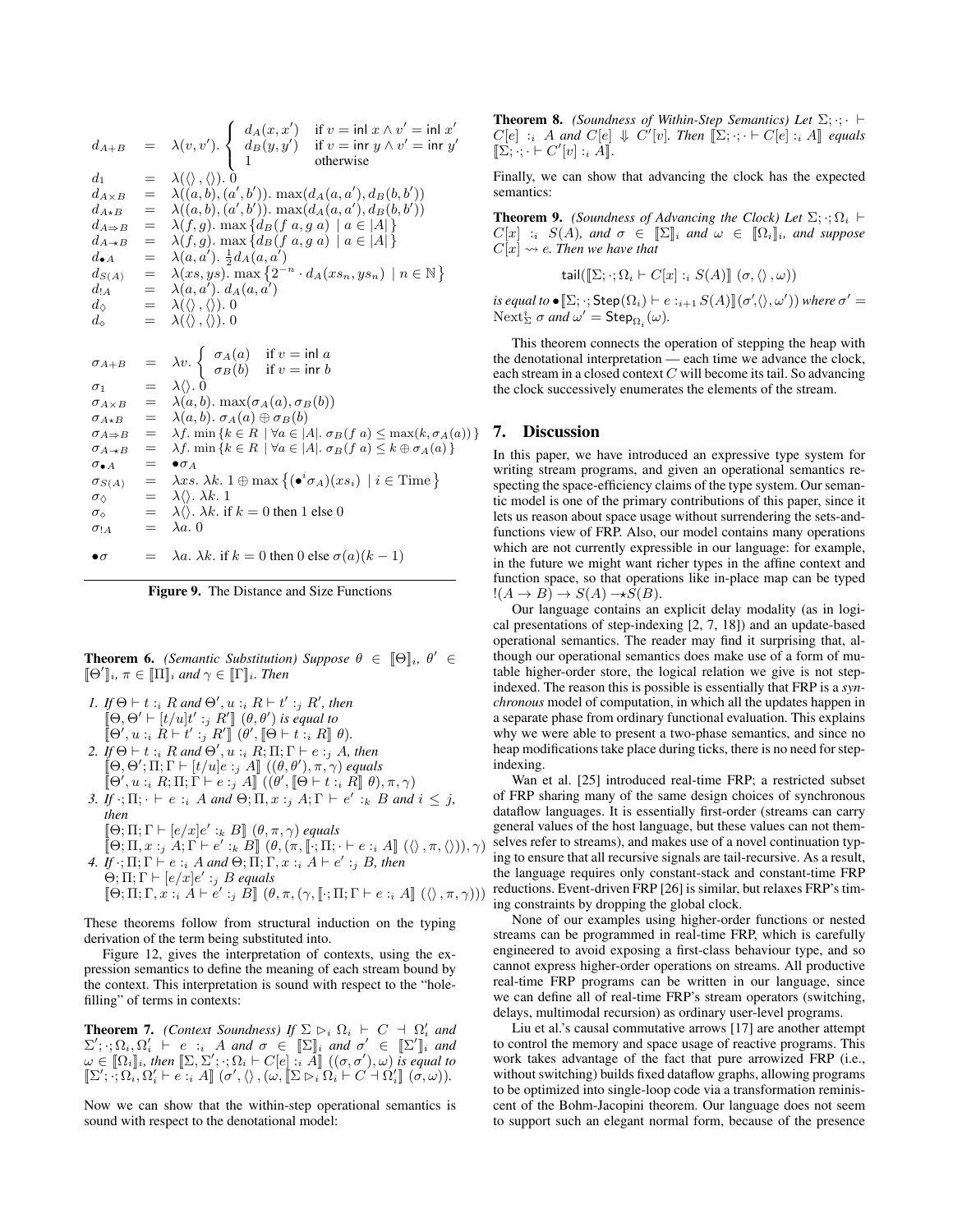$$
d_{A+B} = \lambda(v, v'). \begin{cases} d_A(x, x') & \text{if } v = \text{inl } x \land v' = \text{inl } x' \\ d_B(y, y') & \text{if } v = \text{inr } y \land v' = \text{inr } y' \\ 1 & \text{otherwise} \end{cases}
$$
  
\n
$$
d_1 = \lambda(\langle \rangle, \langle \rangle). 0
$$
  
\n
$$
d_{A \times B} = \lambda((a, b), (a', b')). \max(d_A(a, a'), d_B(b, b'))
$$
  
\n
$$
d_{A \Rightarrow B} = \lambda(f, g). \max\{d_B(f a, g a) | a \in |A|\}
$$
  
\n
$$
d_{A \rightarrow B} = \lambda(f, g). \max\{d_B(f a, g a) | a \in |A|\}
$$
  
\n
$$
d_{A \rightarrow B} = \lambda(g, g). \max\{d_B(g, g a) | a \in |A|\}
$$
  
\n
$$
d_{A \land B} = \lambda(a, a'). \frac{1}{2}d_A(a, a')
$$
  
\n
$$
d_{A \land B} = \lambda(a, a'). d_A(a, a')
$$
  
\n
$$
d_{A \land B} = \lambda(a, b). d_A(a, a')
$$
  
\n
$$
d_{A \land B} = \lambda(\langle \rangle, \langle \rangle). 0
$$
  
\n
$$
d_{A \land B} = \lambda(v). \begin{cases} \sigma_A(a) & \text{if } v = \text{inl } a \\ \sigma_B(b) & \text{if } v = \text{inr } b \end{cases}
$$
  
\n
$$
\sigma_{A \land B} = \lambda v. \begin{cases} \sigma_A(a) & \text{if } v = \text{inl } a \\ \sigma_B(b) & \text{if } v = \text{inr } b \end{cases}
$$
  
\n
$$
\sigma_{A \land B} = \lambda(a, b). \max(\sigma_A(a), \sigma_B(b))
$$
  
\n
$$
\sigma_{A \land B} = \lambda f. \min\{k \in R \mid \forall a \in |A|. \sigma_B(f a) \leq \max(k, \sigma_A(a))\}
$$
  
\n
$$
\sigma_{A \land B} = \lambda f. \min\{k \in R \mid \forall a \in |A|. \sigma_B(f a) \leq k \oplus \sigma_A(a)\}
$$
  
\n $$ 

Figure 9. The Distance and Size Functions

**Theorem 6.** *(Semantic Substitution) Suppose*  $\theta \in [\Theta]_i$ ,  $\theta' \in$  $[\![\Theta']\!]_i$ ,  $\pi \in [\![\Pi]\!]_i$  and  $\gamma \in [\![\Gamma]\!]_i$ . Then

- *1. If*  $\Theta \vdash t :_i R$  *and*  $\Theta', u :_i R \vdash t' :_j R'$ *, then*  $[\Theta, \Theta' \vdash [t/u]t' :_j R' ]$   $(\theta, \theta')$  is equal to  $[\![\Theta', u : i \ R \vdash t' : j \ R']\!] \ (\theta', [\![\Theta \vdash t : i \ R]\!] \ \theta).$
- 2. *If*  $\Theta \vdash t :_i R$  *and*  $\Theta', u :_i R; \Pi; \Gamma \vdash e :_j A$ *, then*  $[\mathring{\hspace{0.1cm}/}\,\Theta,\Theta';\Pi;\Gamma\vdash [t/u]e:_j A]\hspace{0.1cm}]$   $((\theta,\theta'),\pi,\gamma)$  equals  $\llbracket \Theta', u :_i R; \Pi; \Gamma \vdash e :_j A \rrbracket \ (\check{\theta}', \llbracket \Theta \vdash t :_i R \rrbracket \ \theta), \pi, \gamma)$
- 3. *If*  $\cdot$ ;  $\Pi$ ;  $\cdot \vdash e$  :<sub>i</sub> A and  $\Theta$ ;  $\Pi$ ,  $x$  :<sub>j</sub> A;  $\Gamma \vdash e'$  :<sub>k</sub> B and  $i \leq j$ , *then*
	- $[\Theta; \Pi; \Gamma \vdash [e/x]e' :_k B]$   $(\theta, \pi, \gamma)$  *equals*
- $[\![\Theta;\Pi,x:j\ A;\Gamma\vdash e':k\ B]\!]$   $(\theta,(\pi,\llbracket\cdot;\Pi;\cdot\vdash e:i\ A]\!]$   $(\langle\rangle,\pi,\langle\rangle),\gamma)$ *4. If*  $\cdot$ ;  $\Pi$ ;  $\Gamma \vdash e :_i A$  *and*  $\Theta$ ;  $\Pi$ ;  $\Gamma$ ,  $x :_i A \vdash e' :_j B$ , then  $\Theta$ ;  $\Pi$ ;  $\Gamma \vdash [e/x]e' :_j B$  *equals*
- $[\![\Theta;\Pi;\Gamma,x : \hat{i} \, A \vdash e' :_{j} B]\!]$   $(\theta,\pi,(\gamma,\llbracket \cdot;\Pi;\Gamma \vdash e :_{i} A]\!]$   $(\langle\rangle,\pi,\gamma))$

These theorems follow from structural induction on the typing derivation of the term being substituted into.

Figure 12, gives the interpretation of contexts, using the expression semantics to define the meaning of each stream bound by the context. This interpretation is sound with respect to the "holefilling" of terms in contexts:

**Theorem 7.** *(Context Soundness)* If  $\Sigma \rhd_i \Omega_i \vdash C \dashv \Omega'_i$  and  $\Sigma'; \cdot; \Omega_i, \Omega'_i \vdash e :_i A \text{ and } \sigma \in [\![\Sigma]\!]_i \text{ and } \sigma' \in [\![\Sigma']\!]_i \text{ and }$  $\omega \in [\![\Omega_i]\!]_i$ , then  $[\![\Sigma,\Sigma';\cdot;\Omega_i\vdash C[e]\!]:_i^{\cdot} \tilde{A}]\!]$   $((\sigma,\sigma'),\omega)$  is equal to  $[\![\Sigma';\cdot,\Omega_i,\Omega_i'\vdash e\cdot_i]A]\!]^\cdot(\sigma',\langle\rangle\,,(\omega,[\![\Sigma\triangleright_i\Omega_i\vdash C\cdots\Omega_i']\!]^\cdot(\sigma,\omega)).$ 

Now we can show that the within-step operational semantics is sound with respect to the denotational model:

**Theorem 8.** *(Soundness of Within-Step Semantics) Let*  $\Sigma$ ;  $\cdot$ ;  $\vdash$  $C[e]$  : A and  $C[e] \Downarrow C'[v]$ . Then  $[\Sigma; \cdot; \cdot \vdash C[e] : A]$  *equals*  $\llbracket \Sigma; \cdot; \cdot \vdash C'[v] :_{i} A \rrbracket.$ 

Finally, we can show that advancing the clock has the expected semantics:

**Theorem 9.** *(Soundness of Advancing the Clock) Let*  $\Sigma$ ;  $\cdot$ ;  $\Omega_i$   $\vdash$  $C[x] : i \ S(A)$ *, and*  $\sigma \in \mathbb{Z}_i$  *and*  $\omega \in \mathbb{Q}_i$ , *and suppose*  $C[x] \rightsquigarrow e$ . Then we have that

$$
\mathsf{tail}([\![\Sigma;\cdot;\Omega_i\vdash C[x]\!]:_{i}S(A)]\!](\sigma,\langle\rangle,\omega))
$$

 $\iota$ *s equal to*  $\bullet$   $[\![\Sigma, \cdot; \mathsf{Step}(\Omega_i) \vdash e :_{i+1} S(A)]\!](\sigma', \langle\rangle, \omega'))$  where  $\sigma' =$  $\operatorname{Next}_{\Sigma}^i$  *σ and*  $\omega' = \operatorname{Step}_{\Omega_i}(\omega)$ *.* 

This theorem connects the operation of stepping the heap with the denotational interpretation — each time we advance the clock, each stream in a closed context C will become its tail. So advancing the clock successively enumerates the elements of the stream.

# 7. Discussion

In this paper, we have introduced an expressive type system for writing stream programs, and given an operational semantics respecting the space-efficiency claims of the type system. Our semantic model is one of the primary contributions of this paper, since it lets us reason about space usage without surrendering the sets-andfunctions view of FRP. Also, our model contains many operations which are not currently expressible in our language: for example, in the future we might want richer types in the affine context and function space, so that operations like in-place map can be typed  $!(A \rightarrow B) \rightarrow S(A) \rightarrow S(B).$ 

Our language contains an explicit delay modality (as in logical presentations of step-indexing [2, 7, 18]) and an update-based operational semantics. The reader may find it surprising that, although our operational semantics does make use of a form of mutable higher-order store, the logical relation we give is not stepindexed. The reason this is possible is essentially that FRP is a *synchronous* model of computation, in which all the updates happen in a separate phase from ordinary functional evaluation. This explains why we were able to present a two-phase semantics, and since no heap modifications take place during ticks, there is no need for stepindexing.

Wan et al. [25] introduced real-time FRP; a restricted subset of FRP sharing many of the same design choices of synchronous dataflow languages. It is essentially first-order (streams can carry general values of the host language, but these values can not themselves refer to streams), and makes use of a novel continuation typing to ensure that all recursive signals are tail-recursive. As a result, the language requires only constant-stack and constant-time FRP reductions. Event-driven FRP [26] is similar, but relaxes FRP's timing constraints by dropping the global clock.

None of our examples using higher-order functions or nested streams can be programmed in real-time FRP, which is carefully engineered to avoid exposing a first-class behaviour type, and so cannot express higher-order operations on streams. All productive real-time FRP programs can be written in our language, since we can define all of real-time FRP's stream operators (switching, delays, multimodal recursion) as ordinary user-level programs.

Liu et al.'s causal commutative arrows [17] are another attempt to control the memory and space usage of reactive programs. This work takes advantage of the fact that pure arrowized FRP (i.e., without switching) builds fixed dataflow graphs, allowing programs to be optimized into single-loop code via a transformation reminiscent of the Bohm-Jacopini theorem. Our language does not seem to support such an elegant normal form, because of the presence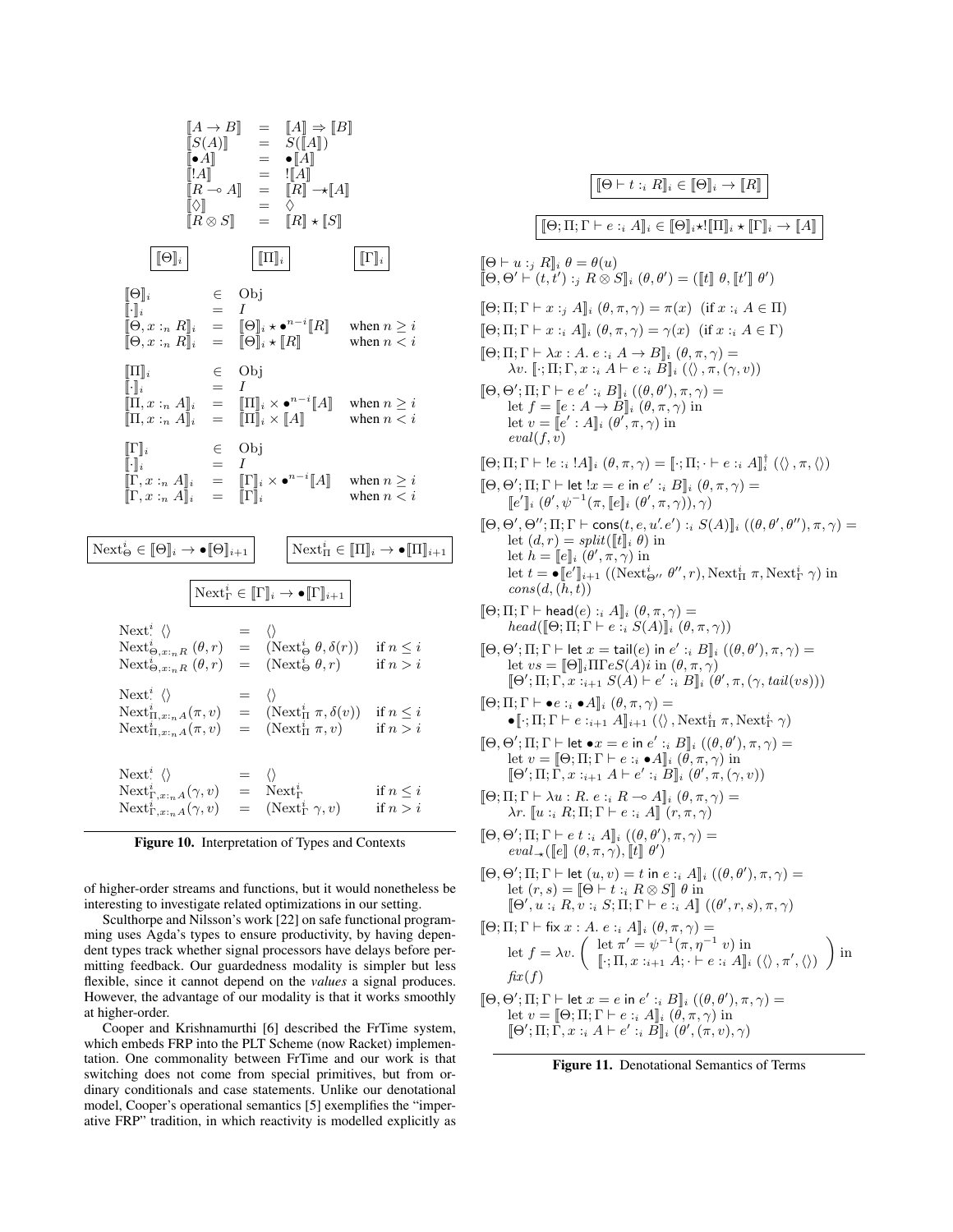$$
\begin{array}{rcl}\n[A \rightarrow B] & = & [A] \Rightarrow [B] \\
[S(A)] & = & S([A]) \\
[A] & = & \bullet [A] \\
[R \rightarrow A] & = & [A] \\
[R \rightarrow A] & = & [R] \rightarrow [A] \\
[R \otimes S] & = & [R] \star [S] \\
\hline\n\end{array}
$$
\n
$$
\begin{array}{rcl}\n[\Theta]_i & \in & \text{Obj} \\
[\Theta]_i & = & [O]_i \star \bullet^{n-i}[R] \\
[\Theta]_i & = & [O]_i \star \bullet^{n-i}[R] \\
[\Theta]_i & = & [O]_i \star \bullet^{n-i}[R] \\
[\Theta]_i & = & [O]_i \star \bullet^{n-i}[R] \\
[\Theta]_i & = & [O]_i \star \bullet^{n-i}[A] \\
[\Theta]_i & = & [O]_i \star \bullet^{n-i}[A] \\
[\Theta]_i & = & [O]_i \star \bullet^{n-i}[A] \\
[\Theta]_i & = & [O]_i \star \bullet^{n-i}[A] \\
[\Theta]_i & = & [O]_i \star \bullet^{n-i}[A] \\
[\Theta]_i & = & [O]_i \star \bullet^{n-i}[A] \\
[\Theta]_i & = & [O]_i \star \bullet^{n-i}[A] \\
[\Theta]_i & = & [O]_i \star \bullet^{n-i}[A] \\
[\Theta]_i & = & [O]_i \star \bullet^{n-i}[A] \\
[\Theta]_i & = & [O]_i \star \bullet^{n-i}[A] \\
[\Theta]_i & = & [O]_i \star \bullet^{n-i}[A] \\
[\Theta]_i & = & [O]_i \star \bullet^{n-i}[A] \\
[\Theta]_i & = & [O]_i \star \bullet^{n-i}[A] \\
[\Theta]_i & = & [O]_i \star \bullet^{n-i}[A] \\
[\Theta]_i & = & [O]_i \star \bullet^{n-i}[A] \\
[\Theta]_i & = & [O]_i \star \bullet^{n-i}[A] \\
[\Theta]_i & = & [O]_i \star \bullet^{n-i}[A] \\
[\Theta]_i & = & [O]_i \star \bullet^{n-i}[A] \\
[\Theta]_i & = & [O]_i \star \bullet^{n-i}[A] \\
[\Theta]_i & = & [O]_i \star \bullet^{n-i}[A] \\
[\Theta]_i & = & [O]_i \star \bullet^{n-i}[A] \\
[\Theta]_i & = & [O]_i \star \bullet^{n-i}[A] \\
$$



of higher-order streams and functions, but it would nonetheless be interesting to investigate related optimizations in our setting.

Sculthorpe and Nilsson's work [22] on safe functional programming uses Agda's types to ensure productivity, by having dependent types track whether signal processors have delays before permitting feedback. Our guardedness modality is simpler but less flexible, since it cannot depend on the *values* a signal produces. However, the advantage of our modality is that it works smoothly at higher-order.

Cooper and Krishnamurthi [6] described the FrTime system, which embeds FRP into the PLT Scheme (now Racket) implementation. One commonality between FrTime and our work is that switching does not come from special primitives, but from ordinary conditionals and case statements. Unlike our denotational model, Cooper's operational semantics [5] exemplifies the "imperative FRP" tradition, in which reactivity is modelled explicitly as

[[Θ ` t :<sup>i</sup> R]]<sup>i</sup> ∈ [[Θ]]<sup>i</sup> → [[R]] [[Θ; Π; Γ ` e :<sup>i</sup> A]]<sup>i</sup> ∈ [[Θ]]i?![[Π]]<sup>i</sup> ? [[Γ]]<sup>i</sup> → [[A]] [[Θ ` u :<sup>j</sup> R]]<sup>i</sup> θ = θ(u) [[Θ, Θ <sup>0</sup> ` (t, t<sup>0</sup> ) :<sup>j</sup> R ⊗ S]]<sup>i</sup> (θ, θ<sup>0</sup> ) = ([[t]] θ, [[t 0 ]] θ 0 ) [[Θ; Π; Γ ` x :<sup>j</sup> A]]<sup>i</sup> (θ, π, γ) = π(x) (if x :<sup>i</sup> A ∈ Π) [[Θ; Π; Γ ` x :<sup>i</sup> A]]<sup>i</sup> (θ, π, γ) = γ(x) (if x :<sup>i</sup> A ∈ Γ) [[Θ; Π; Γ ` λx : A. e :<sup>i</sup> A → B]]<sup>i</sup> (θ, π, γ) = λv. [[·; Π; Γ, x :<sup>i</sup> A ` e :<sup>i</sup> B]]<sup>i</sup> (hi, π,(γ, v)) [[Θ, Θ 0 ; Π; Γ ` e e<sup>0</sup> :<sup>i</sup> B]]<sup>i</sup> ((θ, θ<sup>0</sup> ), π, γ) = let f = [[e : A → B]]<sup>i</sup> (θ, π, γ) in let v = [[e 0 : A]]<sup>i</sup> (θ 0 , π, γ) in eval(f, v) [[Θ; Π; Γ ` !e :<sup>i</sup> !A]]<sup>i</sup> (θ, π, γ) = [[·; Π; · ` e :<sup>i</sup> A]]† i (hi, π,hi) [[Θ, Θ 0 ; Π; Γ ` let !x = e in e 0 :<sup>i</sup> B]]<sup>i</sup> (θ, π, γ) = [[e 0 ]]<sup>i</sup> (θ 0 , ψ<sup>−</sup><sup>1</sup> (π, [[e]]<sup>i</sup> (θ 0 , π, γ)), γ) [[Θ, Θ 0 , Θ <sup>00</sup>; Π; Γ ` cons(t, e, u<sup>0</sup> .e0 ) :<sup>i</sup> S(A)]]<sup>i</sup> ((θ, θ<sup>0</sup> , θ<sup>00</sup>), π, γ) = let (d, r) = split([[t]]<sup>i</sup> θ) in let h = [[e]]<sup>i</sup> (θ 0 , π, γ) in let t = •[[e 0 ]]i+1 ((Next<sup>i</sup> <sup>Θ</sup><sup>00</sup> θ <sup>00</sup>, r), Next<sup>i</sup> <sup>Π</sup> π, Next<sup>i</sup> <sup>Γ</sup> γ) in cons(d,(h, t)) [[Θ; Π; Γ ` head(e) :<sup>i</sup> A]]<sup>i</sup> (θ, π, γ) = head([[Θ; Π; Γ ` e :<sup>i</sup> S(A)]]<sup>i</sup> (θ, π, γ)) [[Θ, Θ 0 ; Π; Γ ` let x = tail(e) in e 0 :<sup>i</sup> B]]<sup>i</sup> ((θ, θ<sup>0</sup> ), π, γ) = let vs = [[Θ]]iΠΓeS(A)i in (θ, π, γ) [[Θ<sup>0</sup> ; Π; Γ, x :i+1 S(A) ` e 0 :<sup>i</sup> B]]<sup>i</sup> (θ 0 , π,(γ, tail(vs))) [[Θ; Π; Γ ` •e :<sup>i</sup> •A]]<sup>i</sup> (θ, π, γ) = •[[·; Π; Γ ` e :i+1 A]]i+1 (hi, Next<sup>i</sup> <sup>Π</sup> π, Next<sup>i</sup> <sup>Γ</sup> γ) [[Θ, Θ 0 ; Π; Γ ` let •x = e in e 0 :<sup>i</sup> B]]<sup>i</sup> ((θ, θ<sup>0</sup> ), π, γ) = let v = [[Θ; Π; Γ ` e :<sup>i</sup> •A]]<sup>i</sup> (θ, π, γ) in [[Θ<sup>0</sup> ; Π; Γ, x :i+1 A ` e 0 :<sup>i</sup> B]]<sup>i</sup> (θ 0 , π,(γ, v)) [[Θ; Π; Γ ` λu : R. e :<sup>i</sup> R ( A]]<sup>i</sup> (θ, π, γ) = λr. [[u :<sup>i</sup> R; Π; Γ ` e :<sup>i</sup> A]] (r, π, γ) [[Θ, Θ 0 ; Π; Γ ` e t :<sup>i</sup> A]]<sup>i</sup> ((θ, θ<sup>0</sup> ), π, γ) = eval<sup>−</sup>?([[e]] (θ, π, γ), [[t]] θ 0 ) [[Θ, Θ 0 ; Π; Γ ` let (u, v) = t in e :<sup>i</sup> A]]<sup>i</sup> ((θ, θ<sup>0</sup> ), π, γ) = let (r, s) = [[Θ ` t :<sup>i</sup> R ⊗ S]] θ in [[Θ<sup>0</sup> , u :<sup>i</sup> R, v :<sup>i</sup> S; Π; Γ ` e :<sup>i</sup> A]] ((θ 0 , r, s), π, γ) [[Θ; Π; Γ ` fix x : A. e :<sup>i</sup> A]]<sup>i</sup> (θ, π, γ) = let <sup>f</sup> <sup>=</sup> λv. let π <sup>0</sup> = ψ −1 (π, η<sup>−</sup><sup>1</sup> v) in [[·; Π, x :i+1 A; · ` e :<sup>i</sup> A]]<sup>i</sup> (hi, π<sup>0</sup> ,hi) in fix (f) [[Θ, Θ 0 ; Π; Γ ` let x = e in e 0 :<sup>i</sup> B]]<sup>i</sup> ((θ, θ<sup>0</sup> ), π, γ) = let v = [[Θ; Π; Γ ` e :<sup>i</sup> A]]<sup>i</sup> (θ, π, γ) in [[Θ<sup>0</sup> ; Π; Γ, x :<sup>i</sup> A ` e 0 :<sup>i</sup> B]]<sup>i</sup> (θ 0 ,(π, v), γ)

Figure 11. Denotational Semantics of Terms